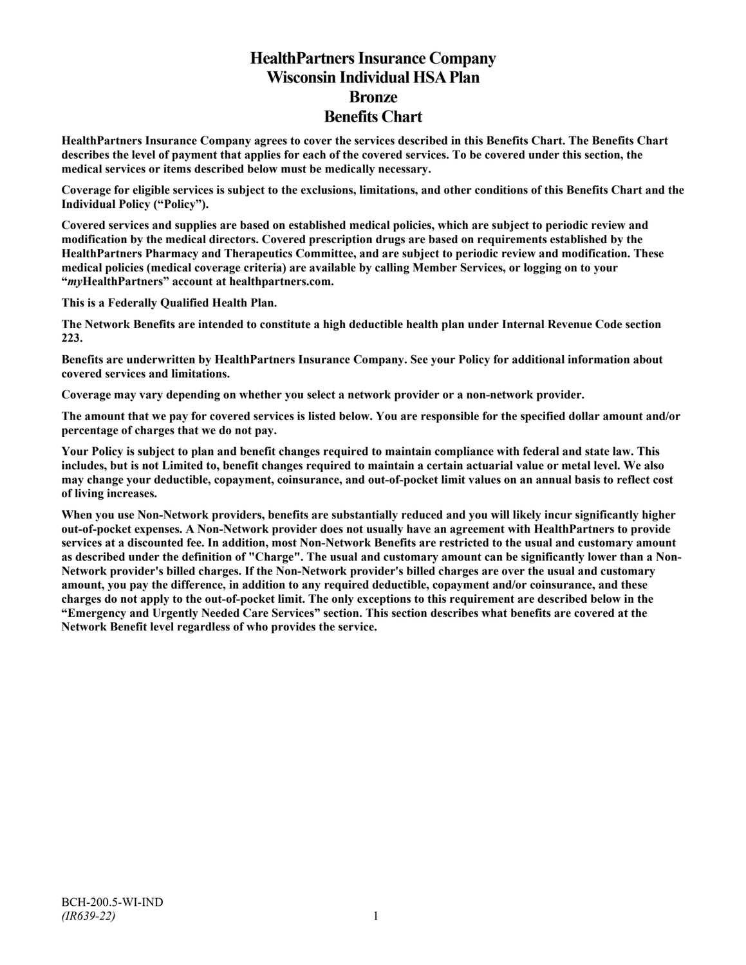# **HealthPartners Insurance Company Wisconsin Individual HSA Plan Bronze Benefits Chart**

**HealthPartners Insurance Company agrees to cover the services described in this Benefits Chart. The Benefits Chart describes the level of payment that applies for each of the covered services. To be covered under this section, the medical services or items described below must be medically necessary.**

**Coverage for eligible services is subject to the exclusions, limitations, and other conditions of this Benefits Chart and the Individual Policy ("Policy").**

**Covered services and supplies are based on established medical policies, which are subject to periodic review and modification by the medical directors. Covered prescription drugs are based on requirements established by the HealthPartners Pharmacy and Therapeutics Committee, and are subject to periodic review and modification. These medical policies (medical coverage criteria) are available by calling Member Services, or logging on to your "***my***HealthPartners" account at [healthpartners.com.](http://www.healthpartners.com/)**

**This is a Federally Qualified Health Plan.**

**The Network Benefits are intended to constitute a high deductible health plan under Internal Revenue Code section 223.**

**Benefits are underwritten by HealthPartners Insurance Company. See your Policy for additional information about covered services and limitations.**

**Coverage may vary depending on whether you select a network provider or a non-network provider.**

**The amount that we pay for covered services is listed below. You are responsible for the specified dollar amount and/or percentage of charges that we do not pay.**

**Your Policy is subject to plan and benefit changes required to maintain compliance with federal and state law. This includes, but is not Limited to, benefit changes required to maintain a certain actuarial value or metal level. We also may change your deductible, copayment, coinsurance, and out-of-pocket limit values on an annual basis to reflect cost of living increases.**

**When you use Non-Network providers, benefits are substantially reduced and you will likely incur significantly higher out-of-pocket expenses. A Non-Network provider does not usually have an agreement with HealthPartners to provide services at a discounted fee. In addition, most Non-Network Benefits are restricted to the usual and customary amount as described under the definition of "Charge". The usual and customary amount can be significantly lower than a Non-Network provider's billed charges. If the Non-Network provider's billed charges are over the usual and customary amount, you pay the difference, in addition to any required deductible, copayment and/or coinsurance, and these charges do not apply to the out-of-pocket limit. The only exceptions to this requirement are described below in the "Emergency and Urgently Needed Care Services" section. This section describes what benefits are covered at the Network Benefit level regardless of who provides the service.**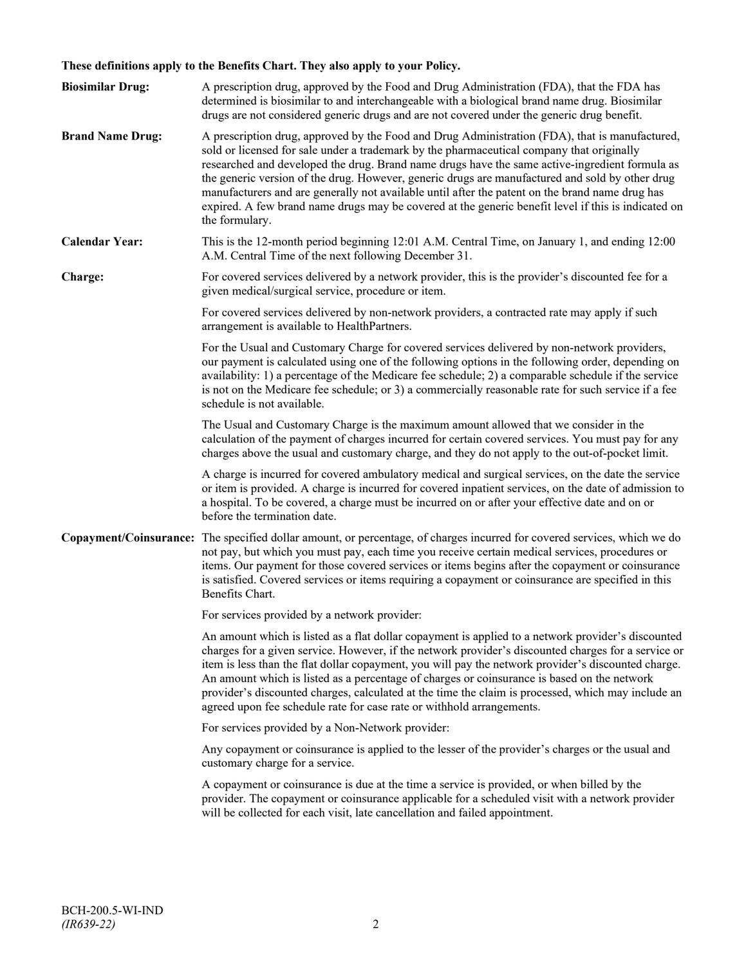# **These definitions apply to the Benefits Chart. They also apply to your Policy.**

| <b>Biosimilar Drug:</b> | A prescription drug, approved by the Food and Drug Administration (FDA), that the FDA has<br>determined is biosimilar to and interchangeable with a biological brand name drug. Biosimilar<br>drugs are not considered generic drugs and are not covered under the generic drug benefit.                                                                                                                                                                                                                                                                                                                                     |
|-------------------------|------------------------------------------------------------------------------------------------------------------------------------------------------------------------------------------------------------------------------------------------------------------------------------------------------------------------------------------------------------------------------------------------------------------------------------------------------------------------------------------------------------------------------------------------------------------------------------------------------------------------------|
| <b>Brand Name Drug:</b> | A prescription drug, approved by the Food and Drug Administration (FDA), that is manufactured,<br>sold or licensed for sale under a trademark by the pharmaceutical company that originally<br>researched and developed the drug. Brand name drugs have the same active-ingredient formula as<br>the generic version of the drug. However, generic drugs are manufactured and sold by other drug<br>manufacturers and are generally not available until after the patent on the brand name drug has<br>expired. A few brand name drugs may be covered at the generic benefit level if this is indicated on<br>the formulary. |
| <b>Calendar Year:</b>   | This is the 12-month period beginning 12:01 A.M. Central Time, on January 1, and ending 12:00<br>A.M. Central Time of the next following December 31.                                                                                                                                                                                                                                                                                                                                                                                                                                                                        |
| Charge:                 | For covered services delivered by a network provider, this is the provider's discounted fee for a<br>given medical/surgical service, procedure or item.                                                                                                                                                                                                                                                                                                                                                                                                                                                                      |
|                         | For covered services delivered by non-network providers, a contracted rate may apply if such<br>arrangement is available to HealthPartners.                                                                                                                                                                                                                                                                                                                                                                                                                                                                                  |
|                         | For the Usual and Customary Charge for covered services delivered by non-network providers,<br>our payment is calculated using one of the following options in the following order, depending on<br>availability: 1) a percentage of the Medicare fee schedule; 2) a comparable schedule if the service<br>is not on the Medicare fee schedule; or 3) a commercially reasonable rate for such service if a fee<br>schedule is not available.                                                                                                                                                                                 |
|                         | The Usual and Customary Charge is the maximum amount allowed that we consider in the<br>calculation of the payment of charges incurred for certain covered services. You must pay for any<br>charges above the usual and customary charge, and they do not apply to the out-of-pocket limit.                                                                                                                                                                                                                                                                                                                                 |
|                         | A charge is incurred for covered ambulatory medical and surgical services, on the date the service<br>or item is provided. A charge is incurred for covered inpatient services, on the date of admission to<br>a hospital. To be covered, a charge must be incurred on or after your effective date and on or<br>before the termination date.                                                                                                                                                                                                                                                                                |
|                         | Copayment/Coinsurance: The specified dollar amount, or percentage, of charges incurred for covered services, which we do<br>not pay, but which you must pay, each time you receive certain medical services, procedures or<br>items. Our payment for those covered services or items begins after the copayment or coinsurance<br>is satisfied. Covered services or items requiring a copayment or coinsurance are specified in this<br>Benefits Chart.                                                                                                                                                                      |
|                         | For services provided by a network provider:                                                                                                                                                                                                                                                                                                                                                                                                                                                                                                                                                                                 |
|                         | An amount which is listed as a flat dollar copayment is applied to a network provider's discounted<br>charges for a given service. However, if the network provider's discounted charges for a service or<br>item is less than the flat dollar copayment, you will pay the network provider's discounted charge.<br>An amount which is listed as a percentage of charges or coinsurance is based on the network<br>provider's discounted charges, calculated at the time the claim is processed, which may include an<br>agreed upon fee schedule rate for case rate or withhold arrangements.                               |
|                         | For services provided by a Non-Network provider:                                                                                                                                                                                                                                                                                                                                                                                                                                                                                                                                                                             |
|                         | Any copayment or coinsurance is applied to the lesser of the provider's charges or the usual and<br>customary charge for a service.                                                                                                                                                                                                                                                                                                                                                                                                                                                                                          |
|                         | A copayment or coinsurance is due at the time a service is provided, or when billed by the<br>provider. The copayment or coinsurance applicable for a scheduled visit with a network provider<br>will be collected for each visit, late cancellation and failed appointment.                                                                                                                                                                                                                                                                                                                                                 |
|                         |                                                                                                                                                                                                                                                                                                                                                                                                                                                                                                                                                                                                                              |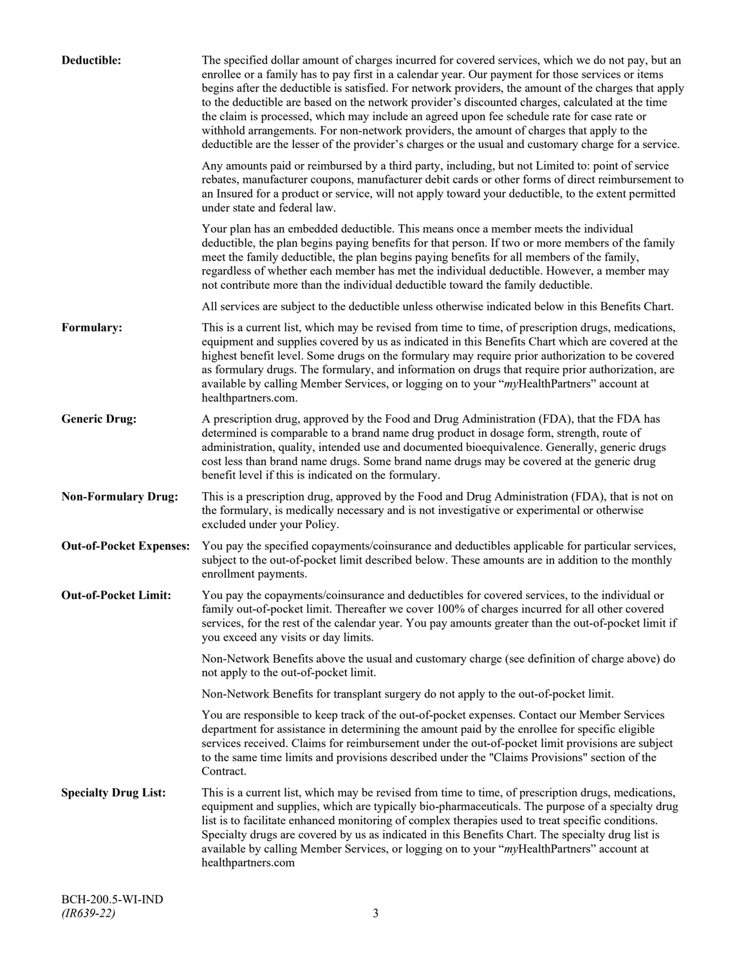| Deductible:                    | The specified dollar amount of charges incurred for covered services, which we do not pay, but an<br>enrollee or a family has to pay first in a calendar year. Our payment for those services or items<br>begins after the deductible is satisfied. For network providers, the amount of the charges that apply<br>to the deductible are based on the network provider's discounted charges, calculated at the time<br>the claim is processed, which may include an agreed upon fee schedule rate for case rate or<br>withhold arrangements. For non-network providers, the amount of charges that apply to the<br>deductible are the lesser of the provider's charges or the usual and customary charge for a service. |
|--------------------------------|-------------------------------------------------------------------------------------------------------------------------------------------------------------------------------------------------------------------------------------------------------------------------------------------------------------------------------------------------------------------------------------------------------------------------------------------------------------------------------------------------------------------------------------------------------------------------------------------------------------------------------------------------------------------------------------------------------------------------|
|                                | Any amounts paid or reimbursed by a third party, including, but not Limited to: point of service<br>rebates, manufacturer coupons, manufacturer debit cards or other forms of direct reimbursement to<br>an Insured for a product or service, will not apply toward your deductible, to the extent permitted<br>under state and federal law.                                                                                                                                                                                                                                                                                                                                                                            |
|                                | Your plan has an embedded deductible. This means once a member meets the individual<br>deductible, the plan begins paying benefits for that person. If two or more members of the family<br>meet the family deductible, the plan begins paying benefits for all members of the family,<br>regardless of whether each member has met the individual deductible. However, a member may<br>not contribute more than the individual deductible toward the family deductible.                                                                                                                                                                                                                                                |
|                                | All services are subject to the deductible unless otherwise indicated below in this Benefits Chart.                                                                                                                                                                                                                                                                                                                                                                                                                                                                                                                                                                                                                     |
| Formulary:                     | This is a current list, which may be revised from time to time, of prescription drugs, medications,<br>equipment and supplies covered by us as indicated in this Benefits Chart which are covered at the<br>highest benefit level. Some drugs on the formulary may require prior authorization to be covered<br>as formulary drugs. The formulary, and information on drugs that require prior authorization, are<br>available by calling Member Services, or logging on to your "myHealthPartners" account at<br>healthpartners.com.                                                                                                                                                                                   |
| <b>Generic Drug:</b>           | A prescription drug, approved by the Food and Drug Administration (FDA), that the FDA has<br>determined is comparable to a brand name drug product in dosage form, strength, route of<br>administration, quality, intended use and documented bioequivalence. Generally, generic drugs<br>cost less than brand name drugs. Some brand name drugs may be covered at the generic drug<br>benefit level if this is indicated on the formulary.                                                                                                                                                                                                                                                                             |
| <b>Non-Formulary Drug:</b>     | This is a prescription drug, approved by the Food and Drug Administration (FDA), that is not on<br>the formulary, is medically necessary and is not investigative or experimental or otherwise<br>excluded under your Policy.                                                                                                                                                                                                                                                                                                                                                                                                                                                                                           |
| <b>Out-of-Pocket Expenses:</b> | You pay the specified copayments/coinsurance and deductibles applicable for particular services,<br>subject to the out-of-pocket limit described below. These amounts are in addition to the monthly<br>enrollment payments.                                                                                                                                                                                                                                                                                                                                                                                                                                                                                            |
| <b>Out-of-Pocket Limit:</b>    | You pay the copayments/coinsurance and deductibles for covered services, to the individual or<br>family out-of-pocket limit. Thereafter we cover 100% of charges incurred for all other covered<br>services, for the rest of the calendar year. You pay amounts greater than the out-of-pocket limit if<br>you exceed any visits or day limits.                                                                                                                                                                                                                                                                                                                                                                         |
|                                | Non-Network Benefits above the usual and customary charge (see definition of charge above) do<br>not apply to the out-of-pocket limit.                                                                                                                                                                                                                                                                                                                                                                                                                                                                                                                                                                                  |
|                                | Non-Network Benefits for transplant surgery do not apply to the out-of-pocket limit.                                                                                                                                                                                                                                                                                                                                                                                                                                                                                                                                                                                                                                    |
|                                | You are responsible to keep track of the out-of-pocket expenses. Contact our Member Services<br>department for assistance in determining the amount paid by the enrollee for specific eligible<br>services received. Claims for reimbursement under the out-of-pocket limit provisions are subject<br>to the same time limits and provisions described under the "Claims Provisions" section of the<br>Contract.                                                                                                                                                                                                                                                                                                        |
| <b>Specialty Drug List:</b>    | This is a current list, which may be revised from time to time, of prescription drugs, medications,<br>equipment and supplies, which are typically bio-pharmaceuticals. The purpose of a specialty drug<br>list is to facilitate enhanced monitoring of complex therapies used to treat specific conditions.<br>Specialty drugs are covered by us as indicated in this Benefits Chart. The specialty drug list is<br>available by calling Member Services, or logging on to your "myHealthPartners" account at<br>healthpartners.com                                                                                                                                                                                    |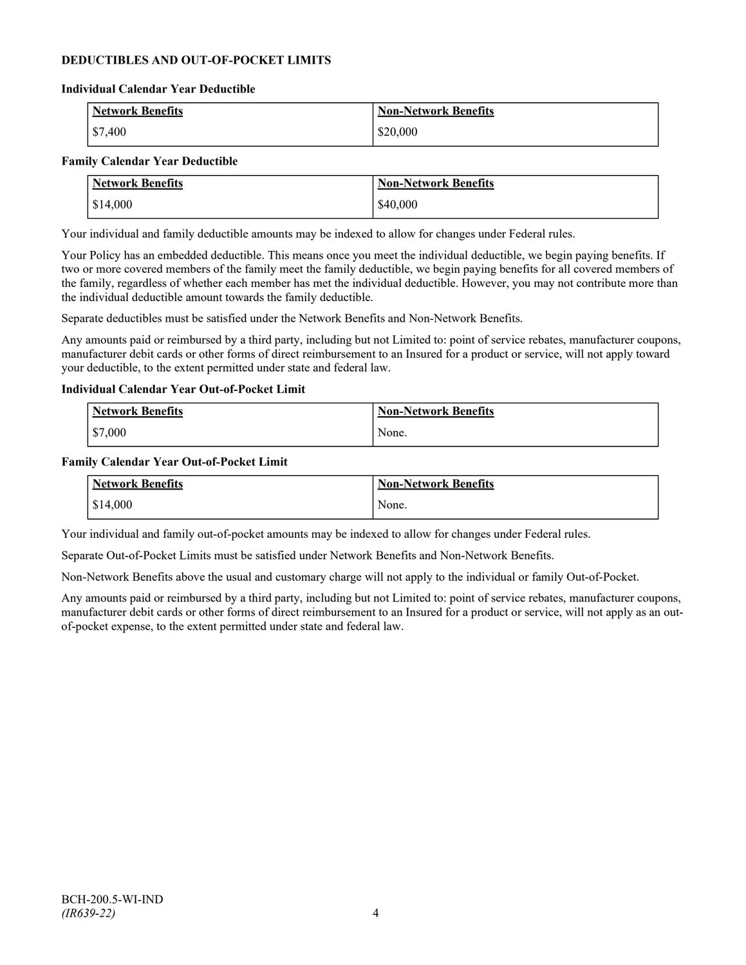### **DEDUCTIBLES AND OUT-OF-POCKET LIMITS**

#### **Individual Calendar Year Deductible**

| <b>Network Benefits</b> | <b>Non-Network Benefits</b> |
|-------------------------|-----------------------------|
| $\frac{$7,400}{}$       | \$20,000                    |

#### **Family Calendar Year Deductible**

| <b>Network Benefits</b> | <b>Non-Network Benefits</b> |
|-------------------------|-----------------------------|
| \$14,000                | \$40,000                    |

Your individual and family deductible amounts may be indexed to allow for changes under Federal rules.

Your Policy has an embedded deductible. This means once you meet the individual deductible, we begin paying benefits. If two or more covered members of the family meet the family deductible, we begin paying benefits for all covered members of the family, regardless of whether each member has met the individual deductible. However, you may not contribute more than the individual deductible amount towards the family deductible.

Separate deductibles must be satisfied under the Network Benefits and Non-Network Benefits.

Any amounts paid or reimbursed by a third party, including but not Limited to: point of service rebates, manufacturer coupons, manufacturer debit cards or other forms of direct reimbursement to an Insured for a product or service, will not apply toward your deductible, to the extent permitted under state and federal law.

#### **Individual Calendar Year Out-of-Pocket Limit**

| Network Benefits | <b>Non-Network Benefits</b> |
|------------------|-----------------------------|
| \$7,000          | None.                       |

#### **Family Calendar Year Out-of-Pocket Limit**

| Network Benefits       | Non-Network Benefits |
|------------------------|----------------------|
| $\frac{1}{2}$ \$14,000 | None.                |

Your individual and family out-of-pocket amounts may be indexed to allow for changes under Federal rules.

Separate Out-of-Pocket Limits must be satisfied under Network Benefits and Non-Network Benefits.

Non-Network Benefits above the usual and customary charge will not apply to the individual or family Out-of-Pocket.

Any amounts paid or reimbursed by a third party, including but not Limited to: point of service rebates, manufacturer coupons, manufacturer debit cards or other forms of direct reimbursement to an Insured for a product or service, will not apply as an outof-pocket expense, to the extent permitted under state and federal law.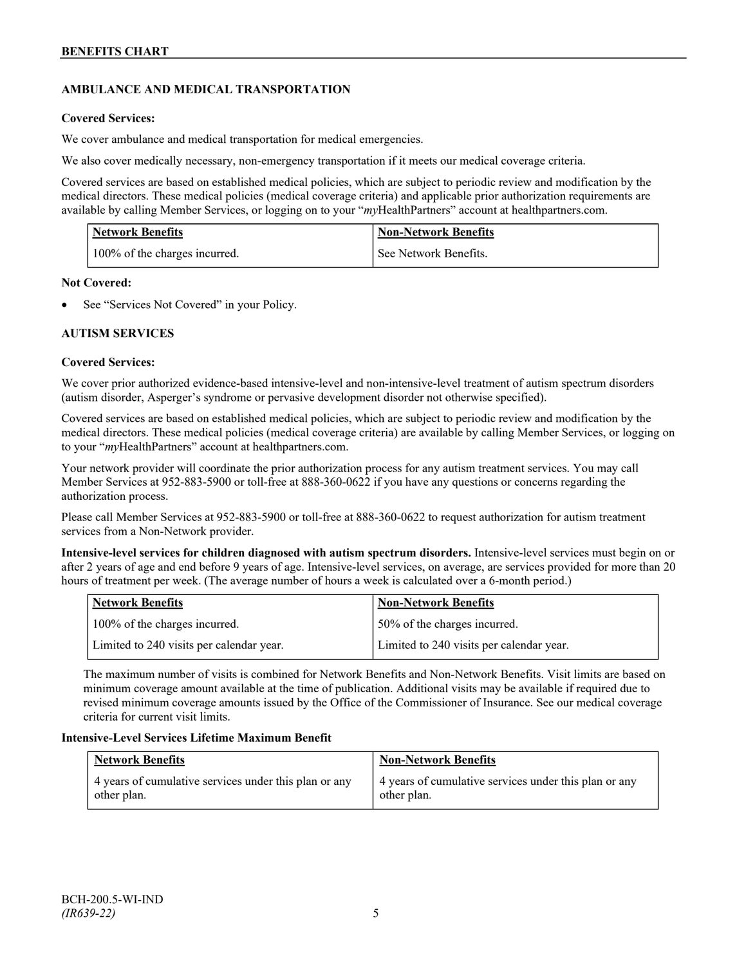# **AMBULANCE AND MEDICAL TRANSPORTATION**

### **Covered Services:**

We cover ambulance and medical transportation for medical emergencies.

We also cover medically necessary, non-emergency transportation if it meets our medical coverage criteria.

Covered services are based on established medical policies, which are subject to periodic review and modification by the medical directors. These medical policies (medical coverage criteria) and applicable prior authorization requirements are available by calling Member Services, or logging on to your "*my*HealthPartners" account a[t healthpartners.com.](http://www.healthpartners.com/)

| <b>Network Benefits</b>       | <b>Non-Network Benefits</b> |
|-------------------------------|-----------------------------|
| 100% of the charges incurred. | See Network Benefits.       |

### **Not Covered:**

See "Services Not Covered" in your Policy.

### **AUTISM SERVICES**

### **Covered Services:**

We cover prior authorized evidence-based intensive-level and non-intensive-level treatment of autism spectrum disorders (autism disorder, Asperger's syndrome or pervasive development disorder not otherwise specified).

Covered services are based on established medical policies, which are subject to periodic review and modification by the medical directors. These medical policies (medical coverage criteria) are available by calling Member Services, or logging on to your "*my*HealthPartners" account at [healthpartners.com.](http://www.healthpartners.com/)

Your network provider will coordinate the prior authorization process for any autism treatment services. You may call Member Services at 952-883-5900 or toll-free at 888-360-0622 if you have any questions or concerns regarding the authorization process.

Please call Member Services at 952-883-5900 or toll-free at 888-360-0622 to request authorization for autism treatment services from a Non-Network provider.

**Intensive-level services for children diagnosed with autism spectrum disorders.** Intensive-level services must begin on or after 2 years of age and end before 9 years of age. Intensive-level services, on average, are services provided for more than 20 hours of treatment per week. (The average number of hours a week is calculated over a 6-month period.)

| Network Benefits                         | <b>Non-Network Benefits</b>              |
|------------------------------------------|------------------------------------------|
| 100% of the charges incurred.            | 50% of the charges incurred.             |
| Limited to 240 visits per calendar year. | Limited to 240 visits per calendar year. |

The maximum number of visits is combined for Network Benefits and Non-Network Benefits. Visit limits are based on minimum coverage amount available at the time of publication. Additional visits may be available if required due to revised minimum coverage amounts issued by the Office of the Commissioner of Insurance. See our medical coverage criteria for current visit limits.

### **Intensive-Level Services Lifetime Maximum Benefit**

| <b>Network Benefits</b>                               | <b>Non-Network Benefits</b>                           |
|-------------------------------------------------------|-------------------------------------------------------|
| 4 years of cumulative services under this plan or any | 4 years of cumulative services under this plan or any |
| other plan.                                           | other plan.                                           |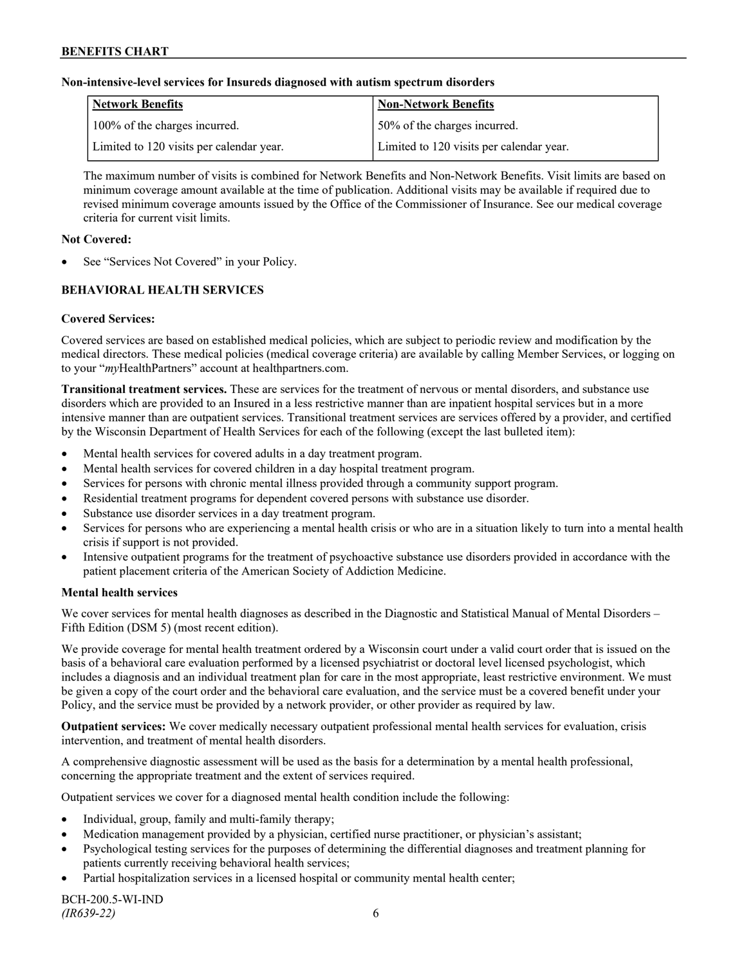#### **Non-intensive-level services for Insureds diagnosed with autism spectrum disorders**

| Network Benefits                         | <b>Non-Network Benefits</b>              |
|------------------------------------------|------------------------------------------|
| 100% of the charges incurred.            | 50% of the charges incurred.             |
| Limited to 120 visits per calendar year. | Limited to 120 visits per calendar year. |

The maximum number of visits is combined for Network Benefits and Non-Network Benefits. Visit limits are based on minimum coverage amount available at the time of publication. Additional visits may be available if required due to revised minimum coverage amounts issued by the Office of the Commissioner of Insurance. See our medical coverage criteria for current visit limits.

#### **Not Covered:**

See "Services Not Covered" in your Policy.

# **BEHAVIORAL HEALTH SERVICES**

### **Covered Services:**

Covered services are based on established medical policies, which are subject to periodic review and modification by the medical directors. These medical policies (medical coverage criteria) are available by calling Member Services, or logging on to your "*my*HealthPartners" account at [healthpartners.com.](http://www.healthpartners.com/)

**Transitional treatment services.** These are services for the treatment of nervous or mental disorders, and substance use disorders which are provided to an Insured in a less restrictive manner than are inpatient hospital services but in a more intensive manner than are outpatient services. Transitional treatment services are services offered by a provider, and certified by the Wisconsin Department of Health Services for each of the following (except the last bulleted item):

- Mental health services for covered adults in a day treatment program.
- Mental health services for covered children in a day hospital treatment program.
- Services for persons with chronic mental illness provided through a community support program.
- Residential treatment programs for dependent covered persons with substance use disorder.
- Substance use disorder services in a day treatment program.
- Services for persons who are experiencing a mental health crisis or who are in a situation likely to turn into a mental health crisis if support is not provided.
- Intensive outpatient programs for the treatment of psychoactive substance use disorders provided in accordance with the patient placement criteria of the American Society of Addiction Medicine.

### **Mental health services**

We cover services for mental health diagnoses as described in the Diagnostic and Statistical Manual of Mental Disorders – Fifth Edition (DSM 5) (most recent edition).

We provide coverage for mental health treatment ordered by a Wisconsin court under a valid court order that is issued on the basis of a behavioral care evaluation performed by a licensed psychiatrist or doctoral level licensed psychologist, which includes a diagnosis and an individual treatment plan for care in the most appropriate, least restrictive environment. We must be given a copy of the court order and the behavioral care evaluation, and the service must be a covered benefit under your Policy, and the service must be provided by a network provider, or other provider as required by law.

**Outpatient services:** We cover medically necessary outpatient professional mental health services for evaluation, crisis intervention, and treatment of mental health disorders.

A comprehensive diagnostic assessment will be used as the basis for a determination by a mental health professional, concerning the appropriate treatment and the extent of services required.

Outpatient services we cover for a diagnosed mental health condition include the following:

- Individual, group, family and multi-family therapy;
- Medication management provided by a physician, certified nurse practitioner, or physician's assistant;
- Psychological testing services for the purposes of determining the differential diagnoses and treatment planning for patients currently receiving behavioral health services;
- Partial hospitalization services in a licensed hospital or community mental health center;

BCH-200.5-WI-IND *(IR639-22)* 6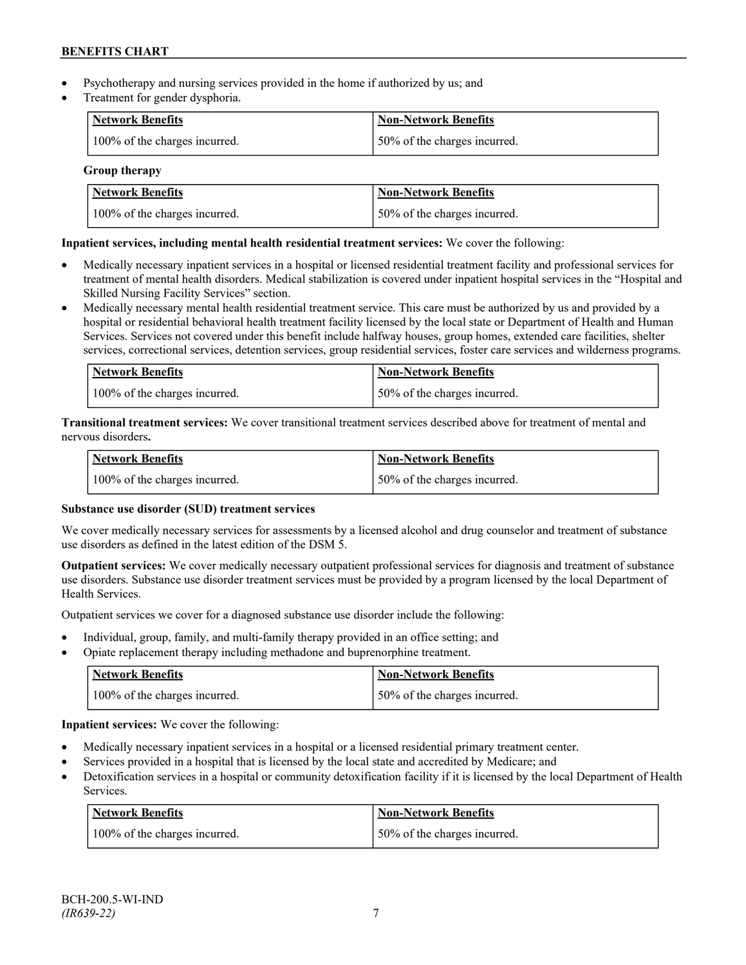- Psychotherapy and nursing services provided in the home if authorized by us; and
- Treatment for gender dysphoria.

| <b>Network Benefits</b>       | <b>Non-Network Benefits</b>  |
|-------------------------------|------------------------------|
| 100% of the charges incurred. | 50% of the charges incurred. |

### **Group therapy**

| Network Benefits              | <b>Non-Network Benefits</b>  |
|-------------------------------|------------------------------|
| 100% of the charges incurred. | 50% of the charges incurred. |

# **Inpatient services, including mental health residential treatment services:** We cover the following:

- Medically necessary inpatient services in a hospital or licensed residential treatment facility and professional services for treatment of mental health disorders. Medical stabilization is covered under inpatient hospital services in the "Hospital and Skilled Nursing Facility Services" section.
- Medically necessary mental health residential treatment service. This care must be authorized by us and provided by a hospital or residential behavioral health treatment facility licensed by the local state or Department of Health and Human Services. Services not covered under this benefit include halfway houses, group homes, extended care facilities, shelter services, correctional services, detention services, group residential services, foster care services and wilderness programs.

| Network Benefits              | Non-Network Benefits         |
|-------------------------------|------------------------------|
| 100% of the charges incurred. | 50% of the charges incurred. |

**Transitional treatment services:** We cover transitional treatment services described above for treatment of mental and nervous disorders**.**

| Network Benefits              | Non-Network Benefits         |
|-------------------------------|------------------------------|
| 100% of the charges incurred. | 50% of the charges incurred. |

# **Substance use disorder (SUD) treatment services**

We cover medically necessary services for assessments by a licensed alcohol and drug counselor and treatment of substance use disorders as defined in the latest edition of the DSM 5.

**Outpatient services:** We cover medically necessary outpatient professional services for diagnosis and treatment of substance use disorders. Substance use disorder treatment services must be provided by a program licensed by the local Department of Health Services.

Outpatient services we cover for a diagnosed substance use disorder include the following:

- Individual, group, family, and multi-family therapy provided in an office setting; and
- Opiate replacement therapy including methadone and buprenorphine treatment.

| <b>Network Benefits</b>       | <b>Non-Network Benefits</b>   |
|-------------------------------|-------------------------------|
| 100% of the charges incurred. | 150% of the charges incurred. |

**Inpatient services:** We cover the following:

- Medically necessary inpatient services in a hospital or a licensed residential primary treatment center.
- Services provided in a hospital that is licensed by the local state and accredited by Medicare; and
- Detoxification services in a hospital or community detoxification facility if it is licensed by the local Department of Health Services.

| <b>Network Benefits</b>       | <b>Non-Network Benefits</b>  |
|-------------------------------|------------------------------|
| 100% of the charges incurred. | 50% of the charges incurred. |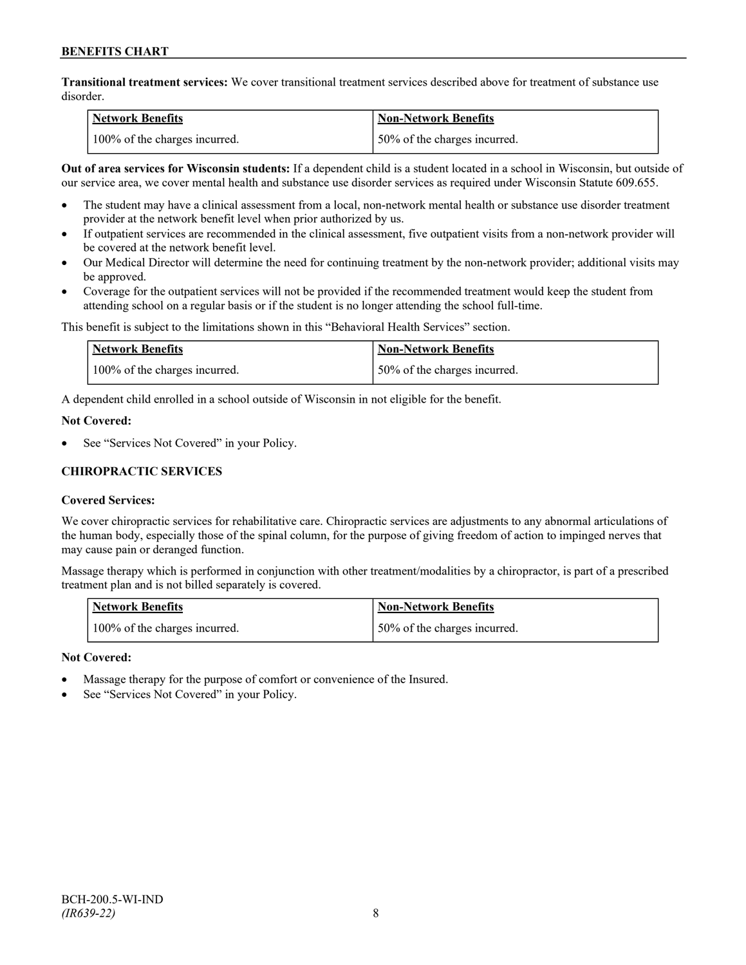**Transitional treatment services:** We cover transitional treatment services described above for treatment of substance use disorder.

| Network Benefits              | <b>Non-Network Benefits</b>  |
|-------------------------------|------------------------------|
| 100% of the charges incurred. | 50% of the charges incurred. |

**Out of area services for Wisconsin students:** If a dependent child is a student located in a school in Wisconsin, but outside of our service area, we cover mental health and substance use disorder services as required under Wisconsin Statute 609.655.

- The student may have a clinical assessment from a local, non-network mental health or substance use disorder treatment provider at the network benefit level when prior authorized by us.
- If outpatient services are recommended in the clinical assessment, five outpatient visits from a non-network provider will be covered at the network benefit level.
- Our Medical Director will determine the need for continuing treatment by the non-network provider; additional visits may be approved.
- Coverage for the outpatient services will not be provided if the recommended treatment would keep the student from attending school on a regular basis or if the student is no longer attending the school full-time.

This benefit is subject to the limitations shown in this "Behavioral Health Services" section.

| Network Benefits              | Non-Network Benefits         |
|-------------------------------|------------------------------|
| 100% of the charges incurred. | 50% of the charges incurred. |

A dependent child enrolled in a school outside of Wisconsin in not eligible for the benefit.

#### **Not Covered:**

See "Services Not Covered" in your Policy.

# **CHIROPRACTIC SERVICES**

### **Covered Services:**

We cover chiropractic services for rehabilitative care. Chiropractic services are adjustments to any abnormal articulations of the human body, especially those of the spinal column, for the purpose of giving freedom of action to impinged nerves that may cause pain or deranged function.

Massage therapy which is performed in conjunction with other treatment/modalities by a chiropractor, is part of a prescribed treatment plan and is not billed separately is covered.

| <b>Network Benefits</b>       | Non-Network Benefits         |
|-------------------------------|------------------------------|
| 100% of the charges incurred. | 50% of the charges incurred. |

- Massage therapy for the purpose of comfort or convenience of the Insured.
- See "Services Not Covered" in your Policy.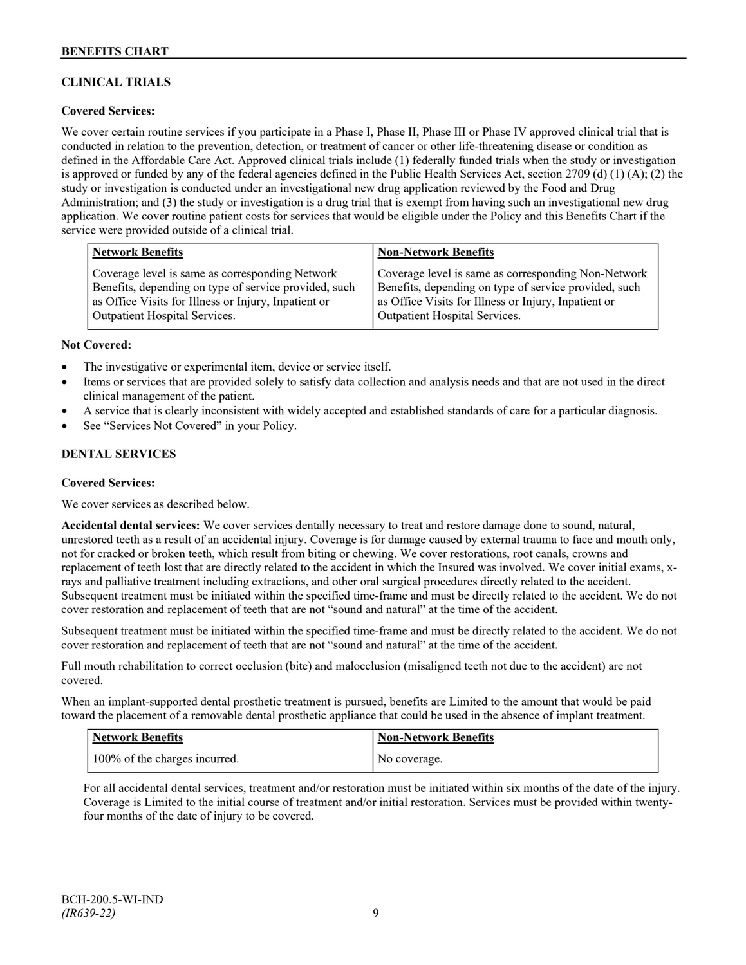# **CLINICAL TRIALS**

### **Covered Services:**

We cover certain routine services if you participate in a Phase I, Phase II, Phase III or Phase IV approved clinical trial that is conducted in relation to the prevention, detection, or treatment of cancer or other life-threatening disease or condition as defined in the Affordable Care Act. Approved clinical trials include (1) federally funded trials when the study or investigation is approved or funded by any of the federal agencies defined in the Public Health Services Act, section 2709 (d) (1) (A); (2) the study or investigation is conducted under an investigational new drug application reviewed by the Food and Drug Administration; and (3) the study or investigation is a drug trial that is exempt from having such an investigational new drug application. We cover routine patient costs for services that would be eligible under the Policy and this Benefits Chart if the service were provided outside of a clinical trial.

| <b>Network Benefits</b>                               | <b>Non-Network Benefits</b>                           |
|-------------------------------------------------------|-------------------------------------------------------|
| Coverage level is same as corresponding Network       | Coverage level is same as corresponding Non-Network   |
| Benefits, depending on type of service provided, such | Benefits, depending on type of service provided, such |
| as Office Visits for Illness or Injury, Inpatient or  | as Office Visits for Illness or Injury, Inpatient or  |
| <b>Outpatient Hospital Services.</b>                  | Outpatient Hospital Services.                         |

#### **Not Covered:**

- The investigative or experimental item, device or service itself.
- Items or services that are provided solely to satisfy data collection and analysis needs and that are not used in the direct clinical management of the patient.
- A service that is clearly inconsistent with widely accepted and established standards of care for a particular diagnosis.
- See "Services Not Covered" in your Policy.

### **DENTAL SERVICES**

#### **Covered Services:**

We cover services as described below.

**Accidental dental services:** We cover services dentally necessary to treat and restore damage done to sound, natural, unrestored teeth as a result of an accidental injury. Coverage is for damage caused by external trauma to face and mouth only, not for cracked or broken teeth, which result from biting or chewing. We cover restorations, root canals, crowns and replacement of teeth lost that are directly related to the accident in which the Insured was involved. We cover initial exams, xrays and palliative treatment including extractions, and other oral surgical procedures directly related to the accident. Subsequent treatment must be initiated within the specified time-frame and must be directly related to the accident. We do not cover restoration and replacement of teeth that are not "sound and natural" at the time of the accident.

Subsequent treatment must be initiated within the specified time-frame and must be directly related to the accident. We do not cover restoration and replacement of teeth that are not "sound and natural" at the time of the accident.

Full mouth rehabilitation to correct occlusion (bite) and malocclusion (misaligned teeth not due to the accident) are not covered.

When an implant-supported dental prosthetic treatment is pursued, benefits are Limited to the amount that would be paid toward the placement of a removable dental prosthetic appliance that could be used in the absence of implant treatment.

| <b>Network Benefits</b>       | <b>Non-Network Benefits</b> |
|-------------------------------|-----------------------------|
| 100% of the charges incurred. | No coverage.                |

For all accidental dental services, treatment and/or restoration must be initiated within six months of the date of the injury. Coverage is Limited to the initial course of treatment and/or initial restoration. Services must be provided within twentyfour months of the date of injury to be covered.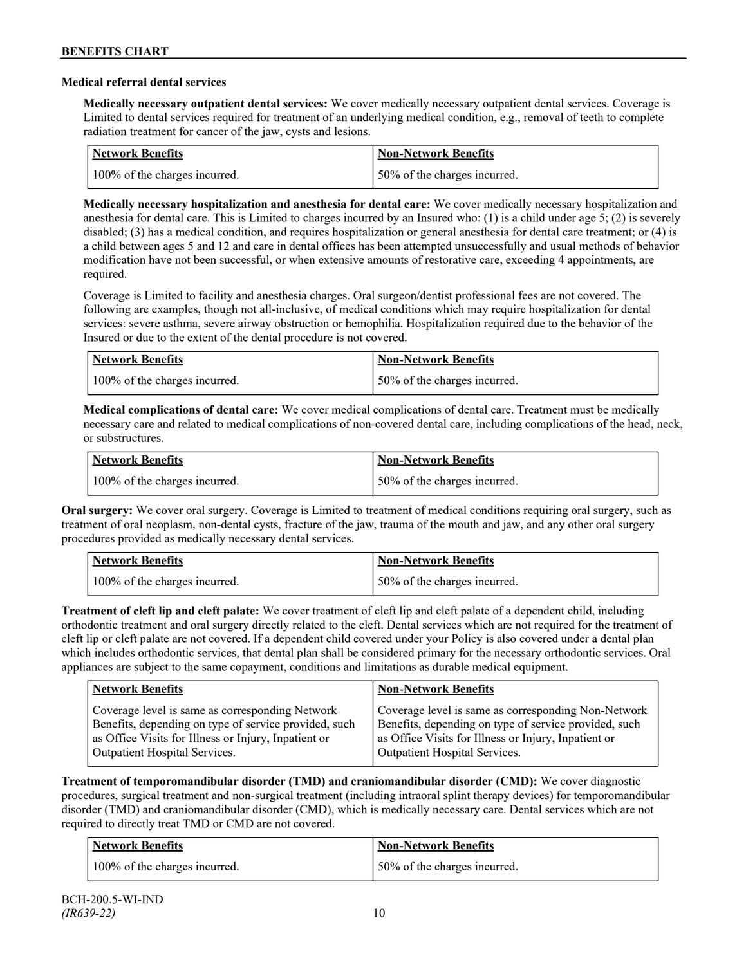#### **Medical referral dental services**

**Medically necessary outpatient dental services:** We cover medically necessary outpatient dental services. Coverage is Limited to dental services required for treatment of an underlying medical condition, e.g., removal of teeth to complete radiation treatment for cancer of the jaw, cysts and lesions.

| <b>Network Benefits</b>       | <b>Non-Network Benefits</b>  |
|-------------------------------|------------------------------|
| 100% of the charges incurred. | 50% of the charges incurred. |

**Medically necessary hospitalization and anesthesia for dental care:** We cover medically necessary hospitalization and anesthesia for dental care. This is Limited to charges incurred by an Insured who: (1) is a child under age 5; (2) is severely disabled; (3) has a medical condition, and requires hospitalization or general anesthesia for dental care treatment; or (4) is a child between ages 5 and 12 and care in dental offices has been attempted unsuccessfully and usual methods of behavior modification have not been successful, or when extensive amounts of restorative care, exceeding 4 appointments, are required.

Coverage is Limited to facility and anesthesia charges. Oral surgeon/dentist professional fees are not covered. The following are examples, though not all-inclusive, of medical conditions which may require hospitalization for dental services: severe asthma, severe airway obstruction or hemophilia. Hospitalization required due to the behavior of the Insured or due to the extent of the dental procedure is not covered.

| Network Benefits              | <b>Non-Network Benefits</b>  |
|-------------------------------|------------------------------|
| 100% of the charges incurred. | 50% of the charges incurred. |

**Medical complications of dental care:** We cover medical complications of dental care. Treatment must be medically necessary care and related to medical complications of non-covered dental care, including complications of the head, neck, or substructures.

| Network Benefits              | <b>Non-Network Benefits</b>  |
|-------------------------------|------------------------------|
| 100% of the charges incurred. | 50% of the charges incurred. |

**Oral surgery:** We cover oral surgery. Coverage is Limited to treatment of medical conditions requiring oral surgery, such as treatment of oral neoplasm, non-dental cysts, fracture of the jaw, trauma of the mouth and jaw, and any other oral surgery procedures provided as medically necessary dental services.

| <b>Network Benefits</b>       | <b>Non-Network Benefits</b>  |
|-------------------------------|------------------------------|
| 100% of the charges incurred. | 50% of the charges incurred. |

**Treatment of cleft lip and cleft palate:** We cover treatment of cleft lip and cleft palate of a dependent child, including orthodontic treatment and oral surgery directly related to the cleft. Dental services which are not required for the treatment of cleft lip or cleft palate are not covered. If a dependent child covered under your Policy is also covered under a dental plan which includes orthodontic services, that dental plan shall be considered primary for the necessary orthodontic services. Oral appliances are subject to the same copayment, conditions and limitations as durable medical equipment.

| <b>Network Benefits</b>                               | <b>Non-Network Benefits</b>                           |
|-------------------------------------------------------|-------------------------------------------------------|
| Coverage level is same as corresponding Network       | Coverage level is same as corresponding Non-Network   |
| Benefits, depending on type of service provided, such | Benefits, depending on type of service provided, such |
| as Office Visits for Illness or Injury, Inpatient or  | as Office Visits for Illness or Injury, Inpatient or  |
| Outpatient Hospital Services.                         | Outpatient Hospital Services.                         |

**Treatment of temporomandibular disorder (TMD) and craniomandibular disorder (CMD):** We cover diagnostic procedures, surgical treatment and non-surgical treatment (including intraoral splint therapy devices) for temporomandibular disorder (TMD) and craniomandibular disorder (CMD), which is medically necessary care. Dental services which are not required to directly treat TMD or CMD are not covered.

| <b>Network Benefits</b>       | <b>Non-Network Benefits</b>  |
|-------------------------------|------------------------------|
| 100% of the charges incurred. | 50% of the charges incurred. |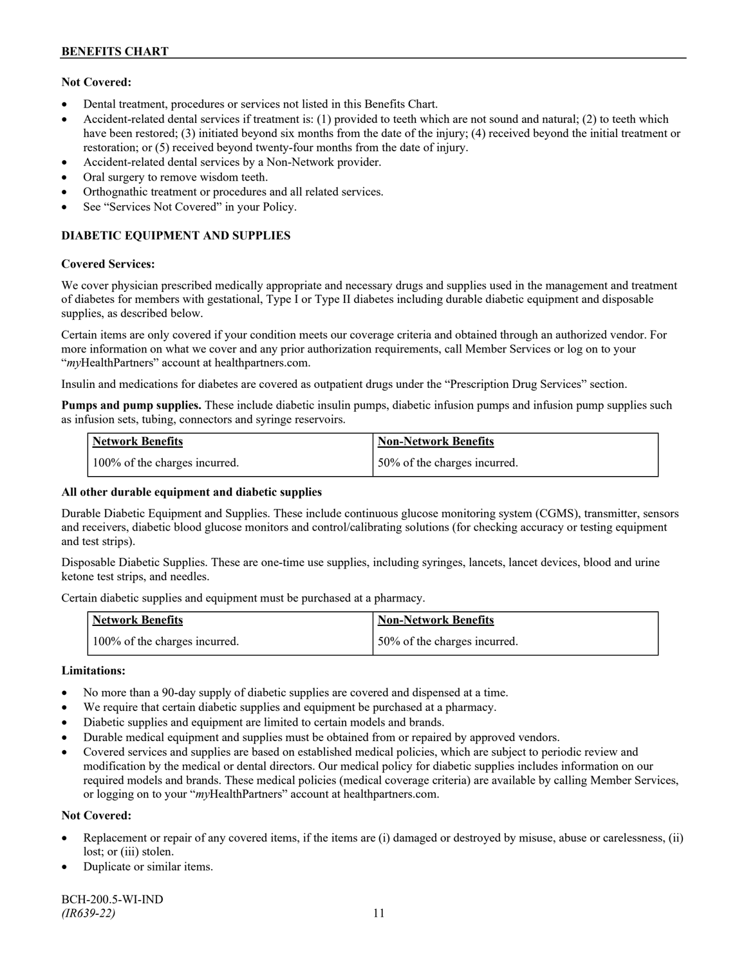### **Not Covered:**

- Dental treatment, procedures or services not listed in this Benefits Chart.
- Accident-related dental services if treatment is: (1) provided to teeth which are not sound and natural; (2) to teeth which have been restored; (3) initiated beyond six months from the date of the injury; (4) received beyond the initial treatment or restoration; or (5) received beyond twenty-four months from the date of injury.
- Accident-related dental services by a Non-Network provider.
- Oral surgery to remove wisdom teeth.
- Orthognathic treatment or procedures and all related services.
- See "Services Not Covered" in your Policy.

# **DIABETIC EQUIPMENT AND SUPPLIES**

#### **Covered Services:**

We cover physician prescribed medically appropriate and necessary drugs and supplies used in the management and treatment of diabetes for members with gestational, Type I or Type II diabetes including durable diabetic equipment and disposable supplies, as described below.

Certain items are only covered if your condition meets our coverage criteria and obtained through an authorized vendor. For more information on what we cover and any prior authorization requirements, call Member Services or log on to your "*my*HealthPartners" account at [healthpartners.com.](http://www.healthpartners.com/)

Insulin and medications for diabetes are covered as outpatient drugs under the "Prescription Drug Services" section.

**Pumps and pump supplies.** These include diabetic insulin pumps, diabetic infusion pumps and infusion pump supplies such as infusion sets, tubing, connectors and syringe reservoirs.

| <b>Network Benefits</b>       | <b>Non-Network Benefits</b>      |
|-------------------------------|----------------------------------|
| 100% of the charges incurred. | $150\%$ of the charges incurred. |

### **All other durable equipment and diabetic supplies**

Durable Diabetic Equipment and Supplies. These include continuous glucose monitoring system (CGMS), transmitter, sensors and receivers, diabetic blood glucose monitors and control/calibrating solutions (for checking accuracy or testing equipment and test strips).

Disposable Diabetic Supplies. These are one-time use supplies, including syringes, lancets, lancet devices, blood and urine ketone test strips, and needles.

Certain diabetic supplies and equipment must be purchased at a pharmacy.

| <b>Network Benefits</b>       | <b>Non-Network Benefits</b>  |
|-------------------------------|------------------------------|
| 100% of the charges incurred. | 50% of the charges incurred. |

### **Limitations:**

- No more than a 90-day supply of diabetic supplies are covered and dispensed at a time.
- We require that certain diabetic supplies and equipment be purchased at a pharmacy.
- Diabetic supplies and equipment are limited to certain models and brands.
- Durable medical equipment and supplies must be obtained from or repaired by approved vendors.
- Covered services and supplies are based on established medical policies, which are subject to periodic review and modification by the medical or dental directors. Our medical policy for diabetic supplies includes information on our required models and brands. These medical policies (medical coverage criteria) are available by calling Member Services, or logging on to your "*my*HealthPartners" account at healthpartners.com.

### **Not Covered:**

- Replacement or repair of any covered items, if the items are (i) damaged or destroyed by misuse, abuse or carelessness, (ii) lost; or (iii) stolen.
- Duplicate or similar items.

BCH-200.5-WI-IND *(IR639-22)* 11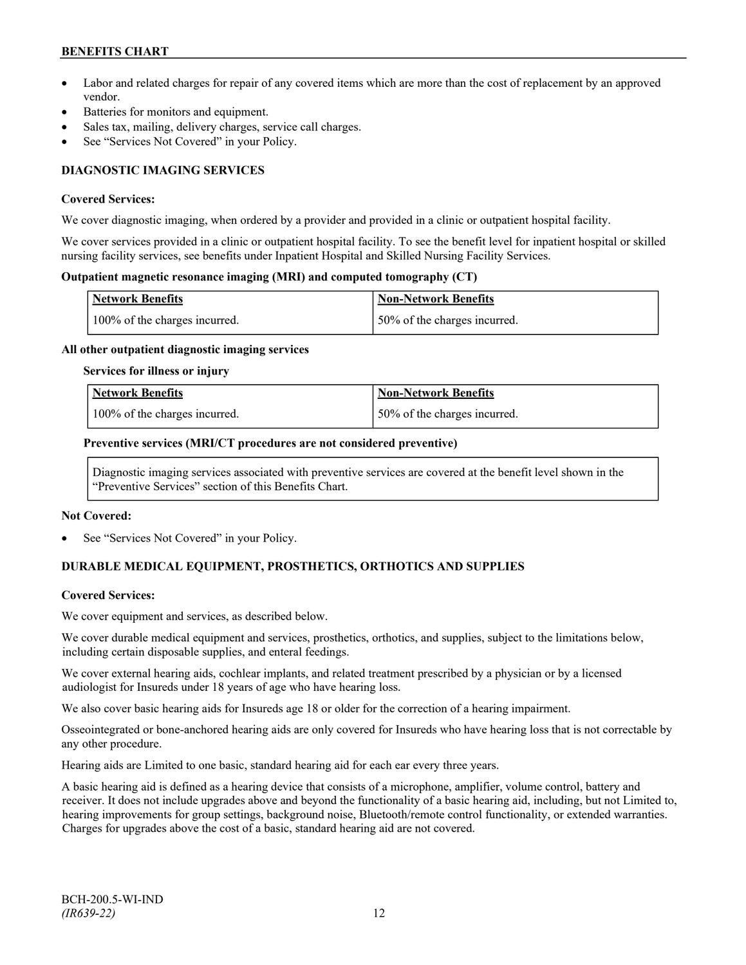- Labor and related charges for repair of any covered items which are more than the cost of replacement by an approved vendor.
- Batteries for monitors and equipment.
- Sales tax, mailing, delivery charges, service call charges.
- See "Services Not Covered" in your Policy.

# **DIAGNOSTIC IMAGING SERVICES**

#### **Covered Services:**

We cover diagnostic imaging, when ordered by a provider and provided in a clinic or outpatient hospital facility.

We cover services provided in a clinic or outpatient hospital facility. To see the benefit level for inpatient hospital or skilled nursing facility services, see benefits under Inpatient Hospital and Skilled Nursing Facility Services.

#### **Outpatient magnetic resonance imaging (MRI) and computed tomography (CT)**

| <b>Network Benefits</b>       | <b>Non-Network Benefits</b>  |
|-------------------------------|------------------------------|
| 100% of the charges incurred. | 50% of the charges incurred. |

#### **All other outpatient diagnostic imaging services**

#### **Services for illness or injury**

| Network Benefits              | <b>Non-Network Benefits</b>  |
|-------------------------------|------------------------------|
| 100% of the charges incurred. | 50% of the charges incurred. |

#### **Preventive services (MRI/CT procedures are not considered preventive)**

Diagnostic imaging services associated with preventive services are covered at the benefit level shown in the "Preventive Services" section of this Benefits Chart.

#### **Not Covered:**

See "Services Not Covered" in your Policy.

# **DURABLE MEDICAL EQUIPMENT, PROSTHETICS, ORTHOTICS AND SUPPLIES**

### **Covered Services:**

We cover equipment and services, as described below.

We cover durable medical equipment and services, prosthetics, orthotics, and supplies, subject to the limitations below, including certain disposable supplies, and enteral feedings.

We cover external hearing aids, cochlear implants, and related treatment prescribed by a physician or by a licensed audiologist for Insureds under 18 years of age who have hearing loss.

We also cover basic hearing aids for Insureds age 18 or older for the correction of a hearing impairment.

Osseointegrated or bone-anchored hearing aids are only covered for Insureds who have hearing loss that is not correctable by any other procedure.

Hearing aids are Limited to one basic, standard hearing aid for each ear every three years.

A basic hearing aid is defined as a hearing device that consists of a microphone, amplifier, volume control, battery and receiver. It does not include upgrades above and beyond the functionality of a basic hearing aid, including, but not Limited to, hearing improvements for group settings, background noise, Bluetooth/remote control functionality, or extended warranties. Charges for upgrades above the cost of a basic, standard hearing aid are not covered.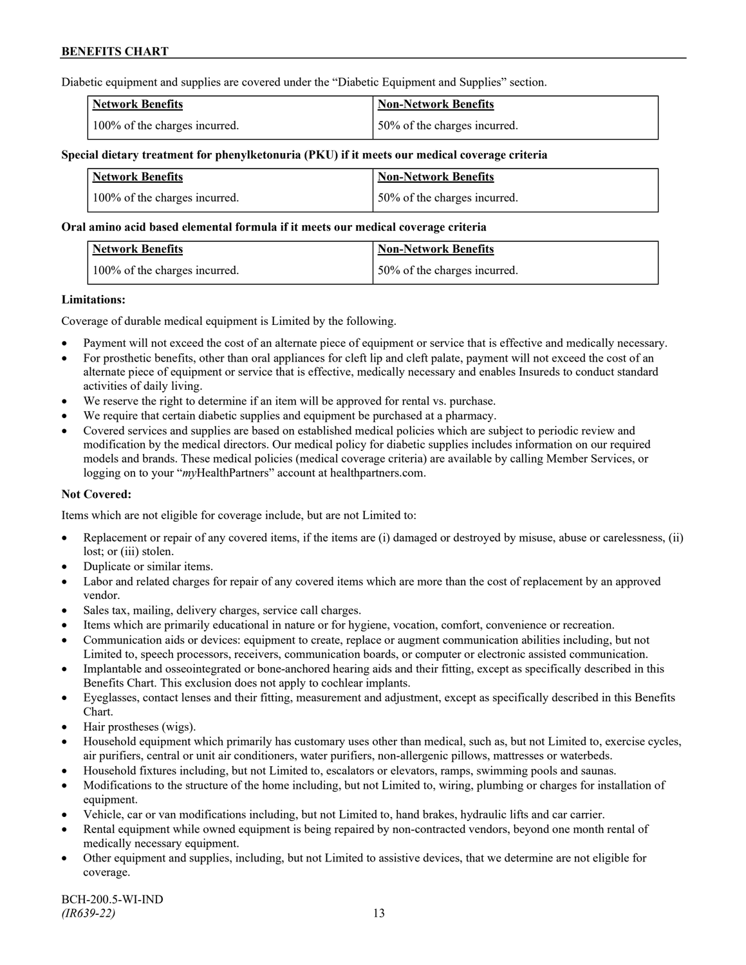Diabetic equipment and supplies are covered under the "Diabetic Equipment and Supplies" section.

| <b>Network Benefits</b>       | <b>Non-Network Benefits</b>  |
|-------------------------------|------------------------------|
| 100% of the charges incurred. | 50% of the charges incurred. |

#### **Special dietary treatment for phenylketonuria (PKU) if it meets our medical coverage criteria**

| <b>Network Benefits</b>       | <b>Non-Network Benefits</b>  |
|-------------------------------|------------------------------|
| 100% of the charges incurred. | 50% of the charges incurred. |

#### **Oral amino acid based elemental formula if it meets our medical coverage criteria**

| Network Benefits              | <b>Non-Network Benefits</b>  |
|-------------------------------|------------------------------|
| 100% of the charges incurred. | 50% of the charges incurred. |

#### **Limitations:**

Coverage of durable medical equipment is Limited by the following.

- Payment will not exceed the cost of an alternate piece of equipment or service that is effective and medically necessary.
- For prosthetic benefits, other than oral appliances for cleft lip and cleft palate, payment will not exceed the cost of an alternate piece of equipment or service that is effective, medically necessary and enables Insureds to conduct standard activities of daily living.
- We reserve the right to determine if an item will be approved for rental vs. purchase.
- We require that certain diabetic supplies and equipment be purchased at a pharmacy.
- Covered services and supplies are based on established medical policies which are subject to periodic review and modification by the medical directors. Our medical policy for diabetic supplies includes information on our required models and brands. These medical policies (medical coverage criteria) are available by calling Member Services, or logging on to your "*my*HealthPartners" account at [healthpartners.com.](http://www.healthpartners.com/)

### **Not Covered:**

Items which are not eligible for coverage include, but are not Limited to:

- Replacement or repair of any covered items, if the items are (i) damaged or destroyed by misuse, abuse or carelessness, (ii) lost; or (iii) stolen.
- Duplicate or similar items.
- Labor and related charges for repair of any covered items which are more than the cost of replacement by an approved vendor.
- Sales tax, mailing, delivery charges, service call charges.
- Items which are primarily educational in nature or for hygiene, vocation, comfort, convenience or recreation.
- Communication aids or devices: equipment to create, replace or augment communication abilities including, but not Limited to, speech processors, receivers, communication boards, or computer or electronic assisted communication.
- Implantable and osseointegrated or bone-anchored hearing aids and their fitting, except as specifically described in this Benefits Chart. This exclusion does not apply to cochlear implants.
- Eyeglasses, contact lenses and their fitting, measurement and adjustment, except as specifically described in this Benefits Chart.
- Hair prostheses (wigs).
- Household equipment which primarily has customary uses other than medical, such as, but not Limited to, exercise cycles, air purifiers, central or unit air conditioners, water purifiers, non-allergenic pillows, mattresses or waterbeds.
- Household fixtures including, but not Limited to, escalators or elevators, ramps, swimming pools and saunas.
- Modifications to the structure of the home including, but not Limited to, wiring, plumbing or charges for installation of equipment.
- Vehicle, car or van modifications including, but not Limited to, hand brakes, hydraulic lifts and car carrier.
- Rental equipment while owned equipment is being repaired by non-contracted vendors, beyond one month rental of medically necessary equipment.
- Other equipment and supplies, including, but not Limited to assistive devices, that we determine are not eligible for coverage.

BCH-200.5-WI-IND *(IR639-22)* 13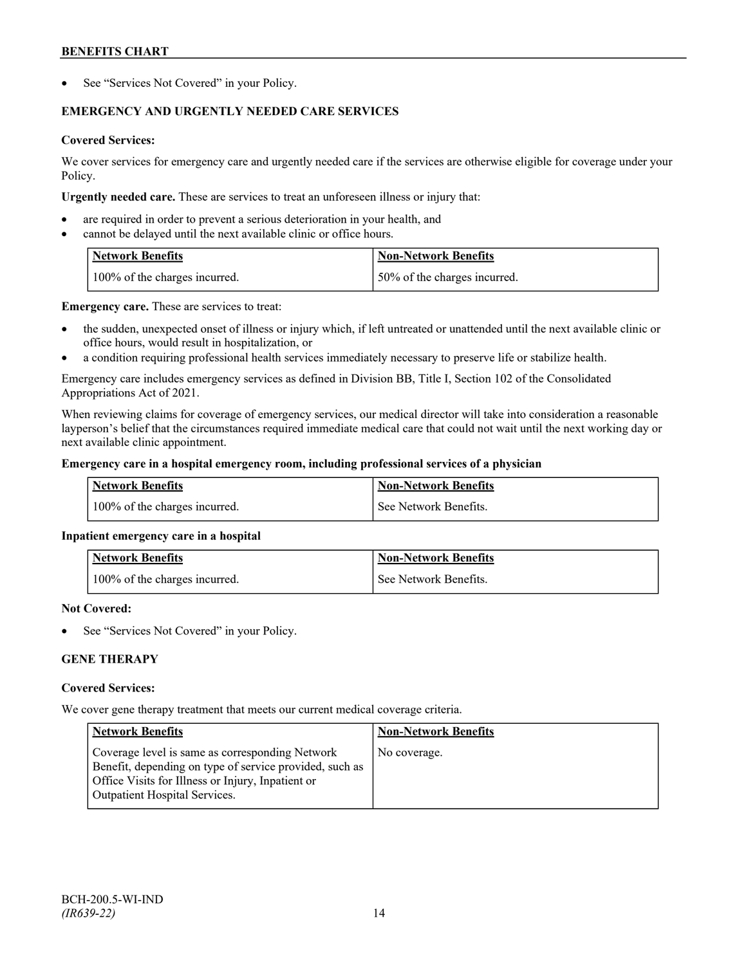See "Services Not Covered" in your Policy.

# **EMERGENCY AND URGENTLY NEEDED CARE SERVICES**

# **Covered Services:**

We cover services for emergency care and urgently needed care if the services are otherwise eligible for coverage under your Policy.

**Urgently needed care.** These are services to treat an unforeseen illness or injury that:

- are required in order to prevent a serious deterioration in your health, and
- cannot be delayed until the next available clinic or office hours.

| Network Benefits              | <b>Non-Network Benefits</b>  |
|-------------------------------|------------------------------|
| 100% of the charges incurred. | 50% of the charges incurred. |

**Emergency care.** These are services to treat:

- the sudden, unexpected onset of illness or injury which, if left untreated or unattended until the next available clinic or office hours, would result in hospitalization, or
- a condition requiring professional health services immediately necessary to preserve life or stabilize health.

Emergency care includes emergency services as defined in Division BB, Title I, Section 102 of the Consolidated Appropriations Act of 2021.

When reviewing claims for coverage of emergency services, our medical director will take into consideration a reasonable layperson's belief that the circumstances required immediate medical care that could not wait until the next working day or next available clinic appointment.

### **Emergency care in a hospital emergency room, including professional services of a physician**

| Network Benefits              | Non-Network Benefits  |
|-------------------------------|-----------------------|
| 100% of the charges incurred. | See Network Benefits. |

### **Inpatient emergency care in a hospital**

| <b>Network Benefits</b>       | <b>Non-Network Benefits</b> |
|-------------------------------|-----------------------------|
| 100% of the charges incurred. | See Network Benefits.       |

### **Not Covered:**

See "Services Not Covered" in your Policy.

# **GENE THERAPY**

### **Covered Services:**

We cover gene therapy treatment that meets our current medical coverage criteria.

| <b>Network Benefits</b>                                                                                                                                                                                 | <b>Non-Network Benefits</b> |
|---------------------------------------------------------------------------------------------------------------------------------------------------------------------------------------------------------|-----------------------------|
| Coverage level is same as corresponding Network<br>Benefit, depending on type of service provided, such as<br>Office Visits for Illness or Injury, Inpatient or<br><b>Outpatient Hospital Services.</b> | No coverage.                |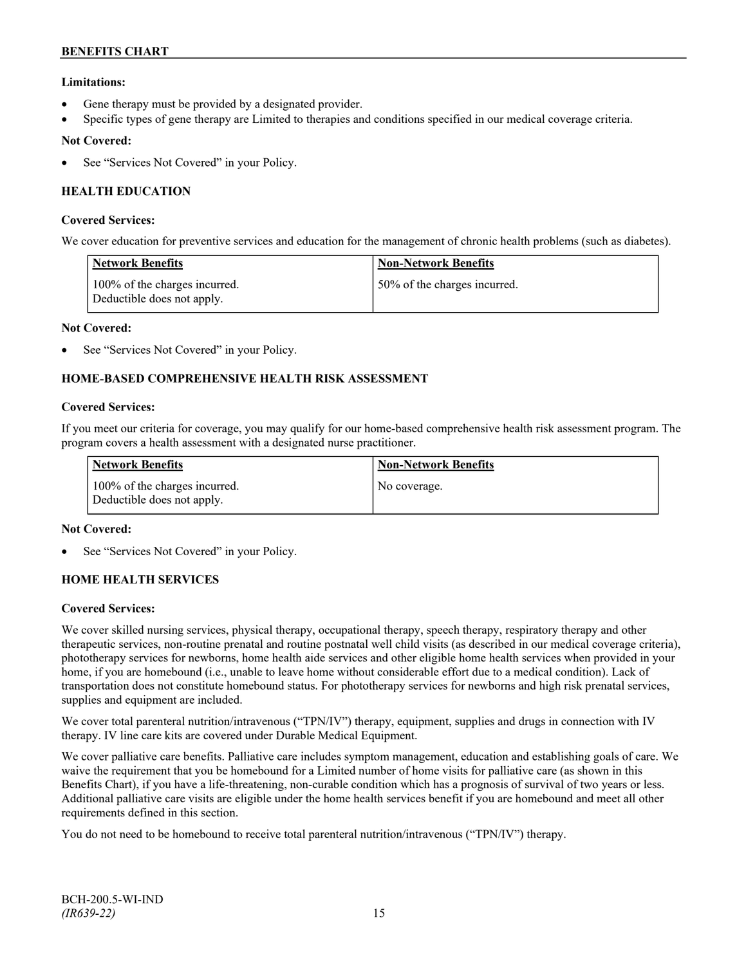### **Limitations:**

- Gene therapy must be provided by a designated provider.
- Specific types of gene therapy are Limited to therapies and conditions specified in our medical coverage criteria.

### **Not Covered:**

See "Services Not Covered" in your Policy.

# **HEALTH EDUCATION**

#### **Covered Services:**

We cover education for preventive services and education for the management of chronic health problems (such as diabetes).

| <b>Network Benefits</b>                                     | <b>Non-Network Benefits</b>  |
|-------------------------------------------------------------|------------------------------|
| 100% of the charges incurred.<br>Deductible does not apply. | 50% of the charges incurred. |

#### **Not Covered:**

See "Services Not Covered" in your Policy.

# **HOME-BASED COMPREHENSIVE HEALTH RISK ASSESSMENT**

#### **Covered Services:**

If you meet our criteria for coverage, you may qualify for our home-based comprehensive health risk assessment program. The program covers a health assessment with a designated nurse practitioner.

| <b>Network Benefits</b>                                     | <b>Non-Network Benefits</b> |
|-------------------------------------------------------------|-----------------------------|
| 100% of the charges incurred.<br>Deductible does not apply. | No coverage.                |

#### **Not Covered:**

See "Services Not Covered" in your Policy.

### **HOME HEALTH SERVICES**

#### **Covered Services:**

We cover skilled nursing services, physical therapy, occupational therapy, speech therapy, respiratory therapy and other therapeutic services, non-routine prenatal and routine postnatal well child visits (as described in our medical coverage criteria), phototherapy services for newborns, home health aide services and other eligible home health services when provided in your home, if you are homebound (i.e., unable to leave home without considerable effort due to a medical condition). Lack of transportation does not constitute homebound status. For phototherapy services for newborns and high risk prenatal services, supplies and equipment are included.

We cover total parenteral nutrition/intravenous ("TPN/IV") therapy, equipment, supplies and drugs in connection with IV therapy. IV line care kits are covered under Durable Medical Equipment.

We cover palliative care benefits. Palliative care includes symptom management, education and establishing goals of care. We waive the requirement that you be homebound for a Limited number of home visits for palliative care (as shown in this Benefits Chart), if you have a life-threatening, non-curable condition which has a prognosis of survival of two years or less. Additional palliative care visits are eligible under the home health services benefit if you are homebound and meet all other requirements defined in this section.

You do not need to be homebound to receive total parenteral nutrition/intravenous ("TPN/IV") therapy.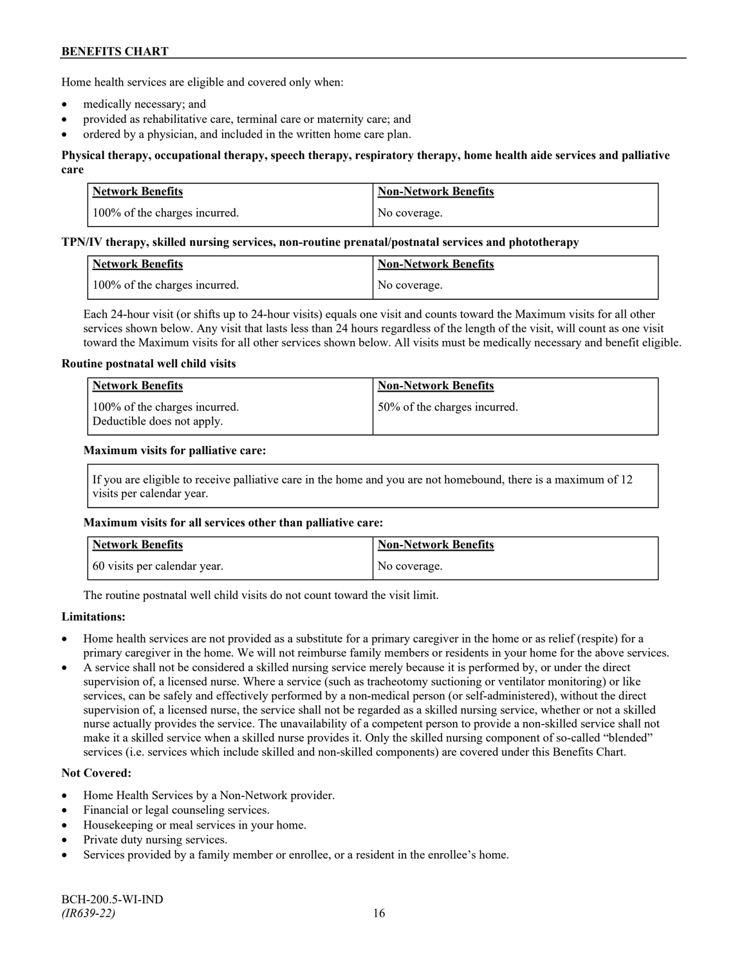Home health services are eligible and covered only when:

- medically necessary; and
- provided as rehabilitative care, terminal care or maternity care; and
- ordered by a physician, and included in the written home care plan.

### **Physical therapy, occupational therapy, speech therapy, respiratory therapy, home health aide services and palliative care**

| <b>Network Benefits</b>       | <b>Non-Network Benefits</b> |
|-------------------------------|-----------------------------|
| 100% of the charges incurred. | No coverage.                |

#### **TPN/IV therapy, skilled nursing services, non-routine prenatal/postnatal services and phototherapy**

| Network Benefits              | Non-Network Benefits |
|-------------------------------|----------------------|
| 100% of the charges incurred. | No coverage.         |

Each 24-hour visit (or shifts up to 24-hour visits) equals one visit and counts toward the Maximum visits for all other services shown below. Any visit that lasts less than 24 hours regardless of the length of the visit, will count as one visit toward the Maximum visits for all other services shown below. All visits must be medically necessary and benefit eligible.

#### **Routine postnatal well child visits**

| Network Benefits                                            | <b>Non-Network Benefits</b>  |
|-------------------------------------------------------------|------------------------------|
| 100% of the charges incurred.<br>Deductible does not apply. | 50% of the charges incurred. |

#### **Maximum visits for palliative care:**

If you are eligible to receive palliative care in the home and you are not homebound, there is a maximum of 12 visits per calendar year.

### **Maximum visits for all services other than palliative care:**

| <b>Network Benefits</b>      | <b>Non-Network Benefits</b> |
|------------------------------|-----------------------------|
| 60 visits per calendar year. | No coverage.                |

The routine postnatal well child visits do not count toward the visit limit.

### **Limitations:**

- Home health services are not provided as a substitute for a primary caregiver in the home or as relief (respite) for a primary caregiver in the home. We will not reimburse family members or residents in your home for the above services.
- A service shall not be considered a skilled nursing service merely because it is performed by, or under the direct supervision of, a licensed nurse. Where a service (such as tracheotomy suctioning or ventilator monitoring) or like services, can be safely and effectively performed by a non-medical person (or self-administered), without the direct supervision of, a licensed nurse, the service shall not be regarded as a skilled nursing service, whether or not a skilled nurse actually provides the service. The unavailability of a competent person to provide a non-skilled service shall not make it a skilled service when a skilled nurse provides it. Only the skilled nursing component of so-called "blended" services (i.e. services which include skilled and non-skilled components) are covered under this Benefits Chart.

- Home Health Services by a Non-Network provider.
- Financial or legal counseling services.
- Housekeeping or meal services in your home.
- Private duty nursing services.
- Services provided by a family member or enrollee, or a resident in the enrollee's home.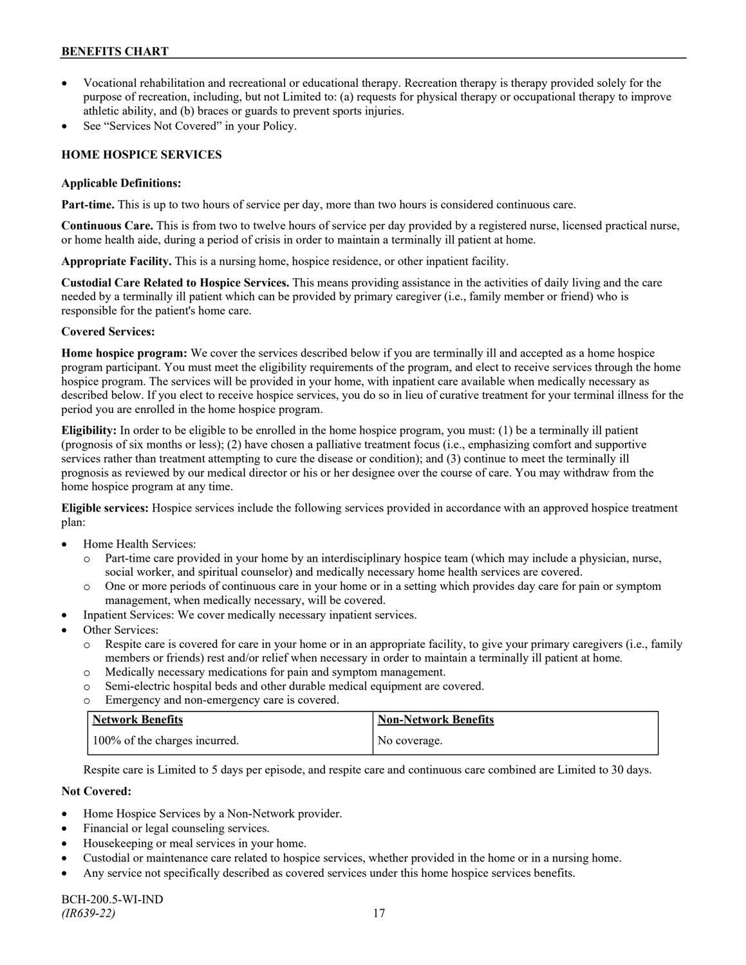- Vocational rehabilitation and recreational or educational therapy. Recreation therapy is therapy provided solely for the purpose of recreation, including, but not Limited to: (a) requests for physical therapy or occupational therapy to improve athletic ability, and (b) braces or guards to prevent sports injuries.
- See "Services Not Covered" in your Policy.

# **HOME HOSPICE SERVICES**

#### **Applicable Definitions:**

**Part-time.** This is up to two hours of service per day, more than two hours is considered continuous care.

**Continuous Care.** This is from two to twelve hours of service per day provided by a registered nurse, licensed practical nurse, or home health aide, during a period of crisis in order to maintain a terminally ill patient at home.

**Appropriate Facility.** This is a nursing home, hospice residence, or other inpatient facility.

**Custodial Care Related to Hospice Services.** This means providing assistance in the activities of daily living and the care needed by a terminally ill patient which can be provided by primary caregiver (i.e., family member or friend) who is responsible for the patient's home care.

### **Covered Services:**

**Home hospice program:** We cover the services described below if you are terminally ill and accepted as a home hospice program participant. You must meet the eligibility requirements of the program, and elect to receive services through the home hospice program. The services will be provided in your home, with inpatient care available when medically necessary as described below. If you elect to receive hospice services, you do so in lieu of curative treatment for your terminal illness for the period you are enrolled in the home hospice program.

**Eligibility:** In order to be eligible to be enrolled in the home hospice program, you must: (1) be a terminally ill patient (prognosis of six months or less); (2) have chosen a palliative treatment focus (i.e., emphasizing comfort and supportive services rather than treatment attempting to cure the disease or condition); and (3) continue to meet the terminally ill prognosis as reviewed by our medical director or his or her designee over the course of care. You may withdraw from the home hospice program at any time.

**Eligible services:** Hospice services include the following services provided in accordance with an approved hospice treatment plan:

- Home Health Services:
	- o Part-time care provided in your home by an interdisciplinary hospice team (which may include a physician, nurse, social worker, and spiritual counselor) and medically necessary home health services are covered.
	- o One or more periods of continuous care in your home or in a setting which provides day care for pain or symptom management, when medically necessary, will be covered.
- Inpatient Services: We cover medically necessary inpatient services.
- Other Services:
	- o Respite care is covered for care in your home or in an appropriate facility, to give your primary caregivers (i.e., family members or friends) rest and/or relief when necessary in order to maintain a terminally ill patient at home*.*
	- o Medically necessary medications for pain and symptom management.
	- o Semi-electric hospital beds and other durable medical equipment are covered.
	- o Emergency and non-emergency care is covered.

| <b>Network Benefits</b>       | <b>Non-Network Benefits</b> |
|-------------------------------|-----------------------------|
| 100% of the charges incurred. | No coverage.                |

Respite care is Limited to 5 days per episode, and respite care and continuous care combined are Limited to 30 days.

- Home Hospice Services by a Non-Network provider.
- Financial or legal counseling services.
- Housekeeping or meal services in your home.
- Custodial or maintenance care related to hospice services, whether provided in the home or in a nursing home.
- Any service not specifically described as covered services under this home hospice services benefits.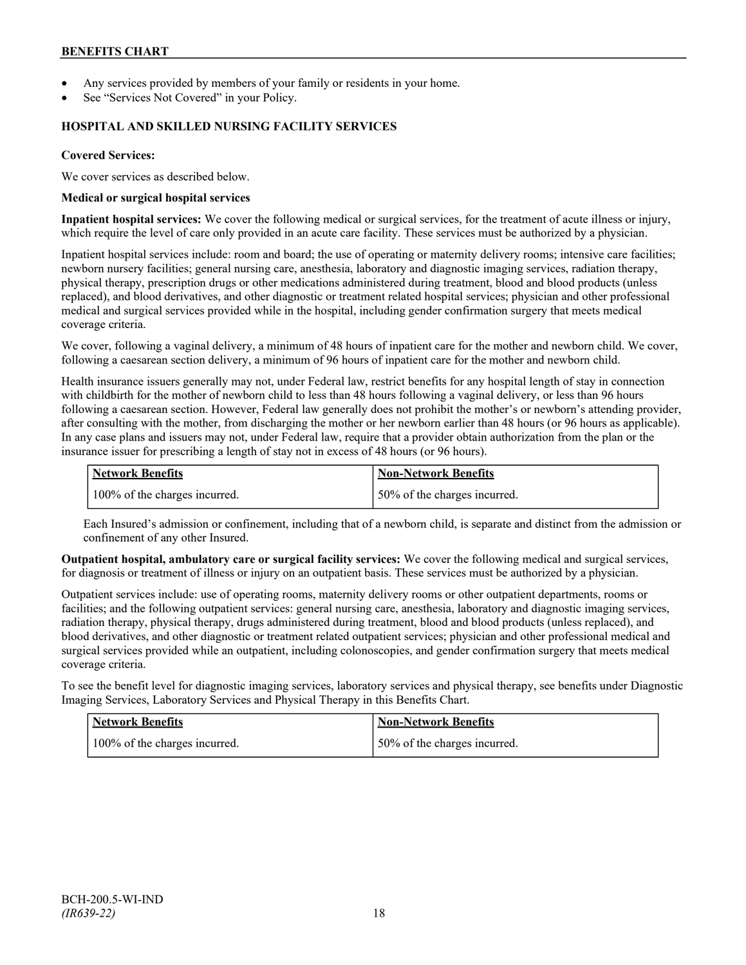- Any services provided by members of your family or residents in your home.
- See "Services Not Covered" in your Policy.

#### **HOSPITAL AND SKILLED NURSING FACILITY SERVICES**

#### **Covered Services:**

We cover services as described below.

#### **Medical or surgical hospital services**

**Inpatient hospital services:** We cover the following medical or surgical services, for the treatment of acute illness or injury, which require the level of care only provided in an acute care facility. These services must be authorized by a physician.

Inpatient hospital services include: room and board; the use of operating or maternity delivery rooms; intensive care facilities; newborn nursery facilities; general nursing care, anesthesia, laboratory and diagnostic imaging services, radiation therapy, physical therapy, prescription drugs or other medications administered during treatment, blood and blood products (unless replaced), and blood derivatives, and other diagnostic or treatment related hospital services; physician and other professional medical and surgical services provided while in the hospital, including gender confirmation surgery that meets medical coverage criteria.

We cover, following a vaginal delivery, a minimum of 48 hours of inpatient care for the mother and newborn child. We cover, following a caesarean section delivery, a minimum of 96 hours of inpatient care for the mother and newborn child.

Health insurance issuers generally may not, under Federal law, restrict benefits for any hospital length of stay in connection with childbirth for the mother of newborn child to less than 48 hours following a vaginal delivery, or less than 96 hours following a caesarean section. However, Federal law generally does not prohibit the mother's or newborn's attending provider, after consulting with the mother, from discharging the mother or her newborn earlier than 48 hours (or 96 hours as applicable). In any case plans and issuers may not, under Federal law, require that a provider obtain authorization from the plan or the insurance issuer for prescribing a length of stay not in excess of 48 hours (or 96 hours).

| Network Benefits              | <b>Non-Network Benefits</b>  |
|-------------------------------|------------------------------|
| 100% of the charges incurred. | 50% of the charges incurred. |

Each Insured's admission or confinement, including that of a newborn child, is separate and distinct from the admission or confinement of any other Insured.

**Outpatient hospital, ambulatory care or surgical facility services:** We cover the following medical and surgical services, for diagnosis or treatment of illness or injury on an outpatient basis. These services must be authorized by a physician.

Outpatient services include: use of operating rooms, maternity delivery rooms or other outpatient departments, rooms or facilities; and the following outpatient services: general nursing care, anesthesia, laboratory and diagnostic imaging services, radiation therapy, physical therapy, drugs administered during treatment, blood and blood products (unless replaced), and blood derivatives, and other diagnostic or treatment related outpatient services; physician and other professional medical and surgical services provided while an outpatient, including colonoscopies, and gender confirmation surgery that meets medical coverage criteria.

To see the benefit level for diagnostic imaging services, laboratory services and physical therapy, see benefits under Diagnostic Imaging Services, Laboratory Services and Physical Therapy in this Benefits Chart.

| Network Benefits              | <b>Non-Network Benefits</b>  |
|-------------------------------|------------------------------|
| 100% of the charges incurred. | 50% of the charges incurred. |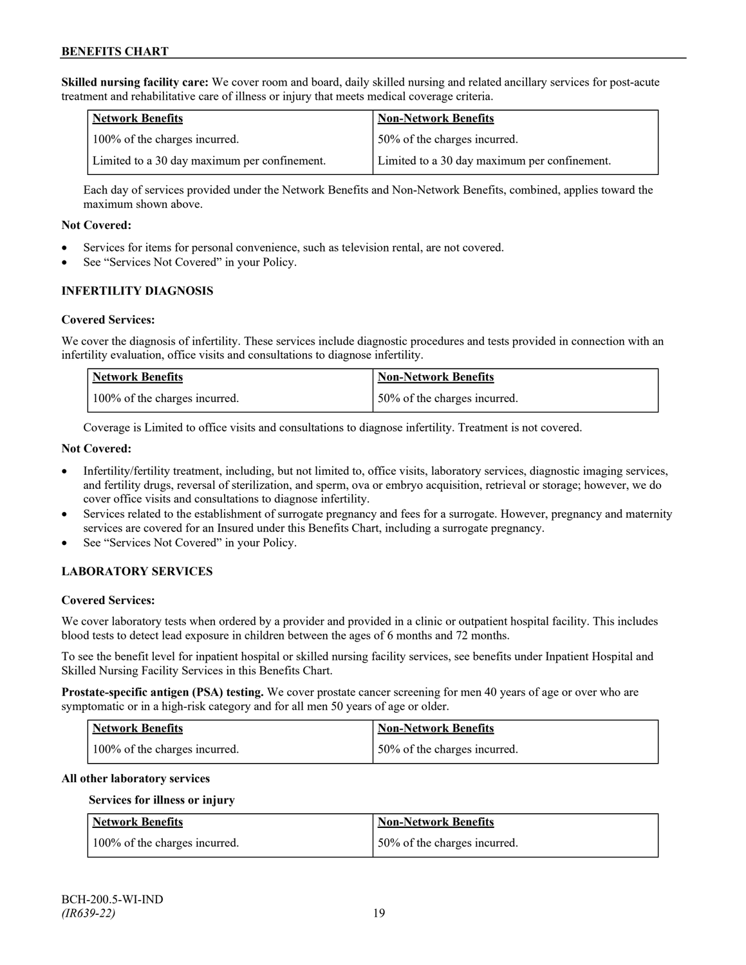**Skilled nursing facility care:** We cover room and board, daily skilled nursing and related ancillary services for post-acute treatment and rehabilitative care of illness or injury that meets medical coverage criteria.

| <b>Network Benefits</b>                      | <b>Non-Network Benefits</b>                  |
|----------------------------------------------|----------------------------------------------|
| 100% of the charges incurred.                | 50% of the charges incurred.                 |
| Limited to a 30 day maximum per confinement. | Limited to a 30 day maximum per confinement. |

Each day of services provided under the Network Benefits and Non-Network Benefits, combined, applies toward the maximum shown above.

#### **Not Covered:**

- Services for items for personal convenience, such as television rental, are not covered.
- See "Services Not Covered" in your Policy.

### **INFERTILITY DIAGNOSIS**

#### **Covered Services:**

We cover the diagnosis of infertility. These services include diagnostic procedures and tests provided in connection with an infertility evaluation, office visits and consultations to diagnose infertility.

| Network Benefits              | <b>Non-Network Benefits</b>  |
|-------------------------------|------------------------------|
| 100% of the charges incurred. | 50% of the charges incurred. |

Coverage is Limited to office visits and consultations to diagnose infertility. Treatment is not covered.

### **Not Covered:**

- Infertility/fertility treatment, including, but not limited to, office visits, laboratory services, diagnostic imaging services, and fertility drugs, reversal of sterilization, and sperm, ova or embryo acquisition, retrieval or storage; however, we do cover office visits and consultations to diagnose infertility.
- Services related to the establishment of surrogate pregnancy and fees for a surrogate. However, pregnancy and maternity services are covered for an Insured under this Benefits Chart, including a surrogate pregnancy.
- See "Services Not Covered" in your Policy.

### **LABORATORY SERVICES**

#### **Covered Services:**

We cover laboratory tests when ordered by a provider and provided in a clinic or outpatient hospital facility. This includes blood tests to detect lead exposure in children between the ages of 6 months and 72 months.

To see the benefit level for inpatient hospital or skilled nursing facility services, see benefits under Inpatient Hospital and Skilled Nursing Facility Services in this Benefits Chart.

**Prostate-specific antigen (PSA) testing.** We cover prostate cancer screening for men 40 years of age or over who are symptomatic or in a high-risk category and for all men 50 years of age or older.

| Network Benefits              | <b>Non-Network Benefits</b>  |
|-------------------------------|------------------------------|
| 100% of the charges incurred. | 50% of the charges incurred. |

#### **All other laboratory services**

#### **Services for illness or injury**

| <b>Network Benefits</b>       | <b>Non-Network Benefits</b>  |
|-------------------------------|------------------------------|
| 100% of the charges incurred. | 50% of the charges incurred. |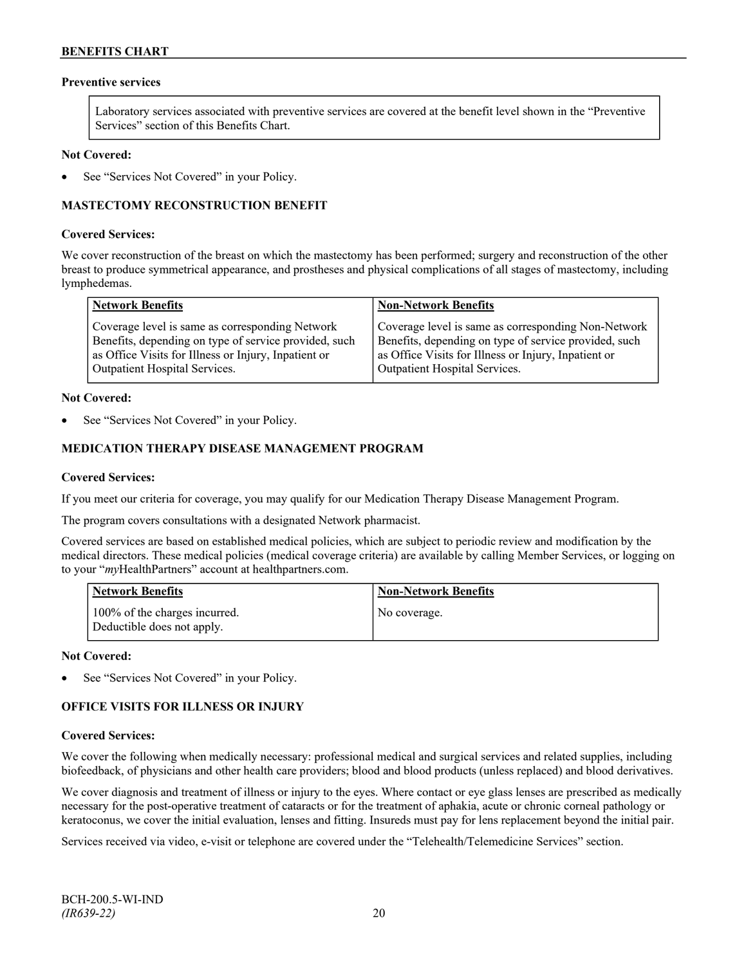### **Preventive services**

Laboratory services associated with preventive services are covered at the benefit level shown in the "Preventive Services" section of this Benefits Chart.

#### **Not Covered:**

See "Services Not Covered" in your Policy.

### **MASTECTOMY RECONSTRUCTION BENEFIT**

#### **Covered Services:**

We cover reconstruction of the breast on which the mastectomy has been performed; surgery and reconstruction of the other breast to produce symmetrical appearance, and prostheses and physical complications of all stages of mastectomy, including lymphedemas.

| <b>Network Benefits</b>                               | <b>Non-Network Benefits</b>                           |
|-------------------------------------------------------|-------------------------------------------------------|
| Coverage level is same as corresponding Network       | Coverage level is same as corresponding Non-Network   |
| Benefits, depending on type of service provided, such | Benefits, depending on type of service provided, such |
| as Office Visits for Illness or Injury, Inpatient or  | as Office Visits for Illness or Injury, Inpatient or  |
| <b>Outpatient Hospital Services.</b>                  | Outpatient Hospital Services.                         |

#### **Not Covered:**

See "Services Not Covered" in your Policy.

### **MEDICATION THERAPY DISEASE MANAGEMENT PROGRAM**

#### **Covered Services:**

If you meet our criteria for coverage, you may qualify for our Medication Therapy Disease Management Program.

The program covers consultations with a designated Network pharmacist.

Covered services are based on established medical policies, which are subject to periodic review and modification by the medical directors. These medical policies (medical coverage criteria) are available by calling Member Services, or logging on to your "*my*HealthPartners" account at [healthpartners.com.](http://www.healthpartners.com/)

| <b>Network Benefits</b>                                     | <b>Non-Network Benefits</b> |
|-------------------------------------------------------------|-----------------------------|
| 100% of the charges incurred.<br>Deductible does not apply. | No coverage.                |

#### **Not Covered:**

See "Services Not Covered" in your Policy.

### **OFFICE VISITS FOR ILLNESS OR INJURY**

#### **Covered Services:**

We cover the following when medically necessary: professional medical and surgical services and related supplies, including biofeedback, of physicians and other health care providers; blood and blood products (unless replaced) and blood derivatives.

We cover diagnosis and treatment of illness or injury to the eyes. Where contact or eye glass lenses are prescribed as medically necessary for the post-operative treatment of cataracts or for the treatment of aphakia, acute or chronic corneal pathology or keratoconus, we cover the initial evaluation, lenses and fitting. Insureds must pay for lens replacement beyond the initial pair.

Services received via video, e-visit or telephone are covered under the "Telehealth/Telemedicine Services" section.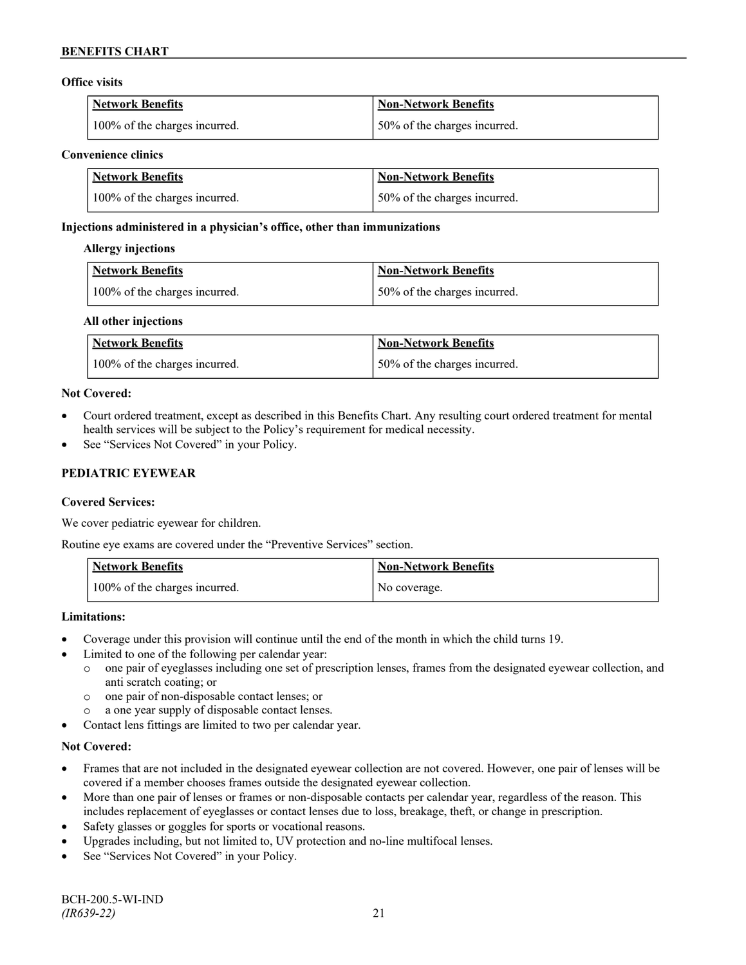### **Office visits**

| Network Benefits              | <b>Non-Network Benefits</b>  |
|-------------------------------|------------------------------|
| 100% of the charges incurred. | 50% of the charges incurred. |

#### **Convenience clinics**

| <b>Network Benefits</b>       | <b>Non-Network Benefits</b>  |
|-------------------------------|------------------------------|
| 100% of the charges incurred. | 50% of the charges incurred. |

# **Injections administered in a physician's office, other than immunizations**

### **Allergy injections**

| <b>Network Benefits</b>       | <b>Non-Network Benefits</b>  |
|-------------------------------|------------------------------|
| 100% of the charges incurred. | 50% of the charges incurred. |

### **All other injections**

| <b>Network Benefits</b>       | Non-Network Benefits          |
|-------------------------------|-------------------------------|
| 100% of the charges incurred. | 150% of the charges incurred. |

### **Not Covered:**

- Court ordered treatment, except as described in this Benefits Chart. Any resulting court ordered treatment for mental health services will be subject to the Policy's requirement for medical necessity.
- See "Services Not Covered" in your Policy.

# **PEDIATRIC EYEWEAR**

### **Covered Services:**

We cover pediatric eyewear for children.

Routine eye exams are covered under the "Preventive Services" section.

| <b>Network Benefits</b>       | <b>Non-Network Benefits</b> |
|-------------------------------|-----------------------------|
| 100% of the charges incurred. | No coverage.                |

### **Limitations:**

- Coverage under this provision will continue until the end of the month in which the child turns 19.
- Limited to one of the following per calendar year:
	- o one pair of eyeglasses including one set of prescription lenses, frames from the designated eyewear collection, and anti scratch coating; or
	- o one pair of non-disposable contact lenses; or
	- o a one year supply of disposable contact lenses.
- Contact lens fittings are limited to two per calendar year.

- Frames that are not included in the designated eyewear collection are not covered. However, one pair of lenses will be covered if a member chooses frames outside the designated eyewear collection.
- More than one pair of lenses or frames or non-disposable contacts per calendar year, regardless of the reason. This includes replacement of eyeglasses or contact lenses due to loss, breakage, theft, or change in prescription.
- Safety glasses or goggles for sports or vocational reasons.
- Upgrades including, but not limited to, UV protection and no-line multifocal lenses.
- See "Services Not Covered" in your Policy.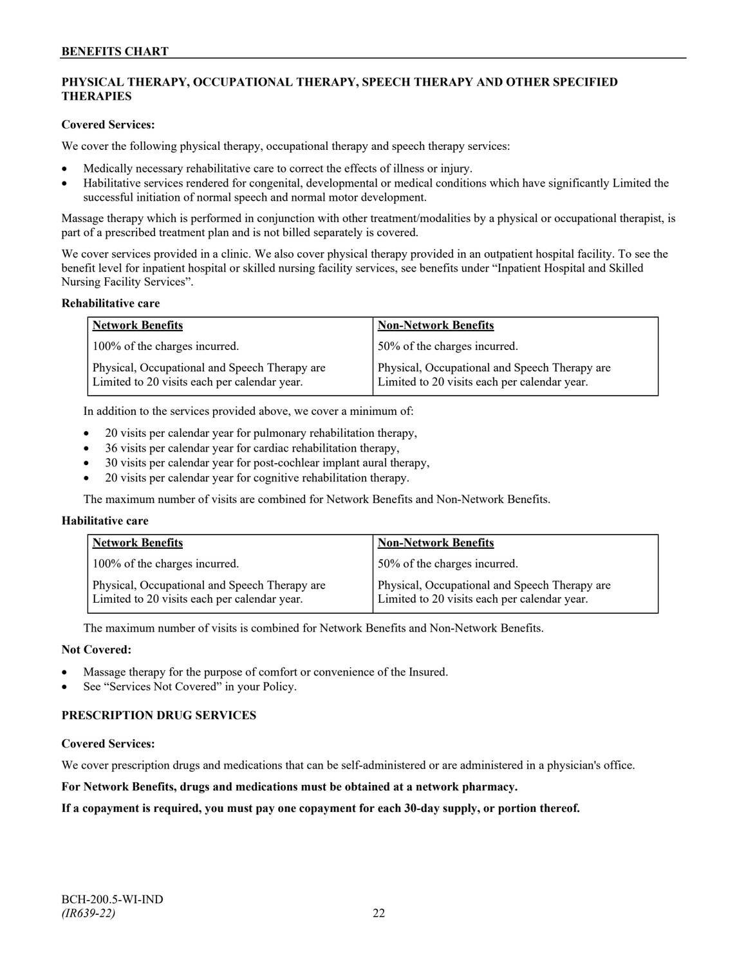# **PHYSICAL THERAPY, OCCUPATIONAL THERAPY, SPEECH THERAPY AND OTHER SPECIFIED THERAPIES**

### **Covered Services:**

We cover the following physical therapy, occupational therapy and speech therapy services:

- Medically necessary rehabilitative care to correct the effects of illness or injury.
- Habilitative services rendered for congenital, developmental or medical conditions which have significantly Limited the successful initiation of normal speech and normal motor development.

Massage therapy which is performed in conjunction with other treatment/modalities by a physical or occupational therapist, is part of a prescribed treatment plan and is not billed separately is covered.

We cover services provided in a clinic. We also cover physical therapy provided in an outpatient hospital facility. To see the benefit level for inpatient hospital or skilled nursing facility services, see benefits under "Inpatient Hospital and Skilled Nursing Facility Services".

#### **Rehabilitative care**

| <b>Network Benefits</b>                                                                       | <b>Non-Network Benefits</b>                                                                   |
|-----------------------------------------------------------------------------------------------|-----------------------------------------------------------------------------------------------|
| 100% of the charges incurred.                                                                 | 50% of the charges incurred.                                                                  |
| Physical, Occupational and Speech Therapy are<br>Limited to 20 visits each per calendar year. | Physical, Occupational and Speech Therapy are<br>Limited to 20 visits each per calendar year. |

In addition to the services provided above, we cover a minimum of:

- 20 visits per calendar year for pulmonary rehabilitation therapy,
- 36 visits per calendar year for cardiac rehabilitation therapy,
- 30 visits per calendar year for post-cochlear implant aural therapy,
- 20 visits per calendar year for cognitive rehabilitation therapy.

The maximum number of visits are combined for Network Benefits and Non-Network Benefits.

#### **Habilitative care**

| <b>Network Benefits</b>                                                                       | <b>Non-Network Benefits</b>                                                                   |
|-----------------------------------------------------------------------------------------------|-----------------------------------------------------------------------------------------------|
| 100% of the charges incurred.                                                                 | 50% of the charges incurred.                                                                  |
| Physical, Occupational and Speech Therapy are<br>Limited to 20 visits each per calendar year. | Physical, Occupational and Speech Therapy are<br>Limited to 20 visits each per calendar year. |

The maximum number of visits is combined for Network Benefits and Non-Network Benefits.

### **Not Covered:**

- Massage therapy for the purpose of comfort or convenience of the Insured.
- See "Services Not Covered" in your Policy.

### **PRESCRIPTION DRUG SERVICES**

#### **Covered Services:**

We cover prescription drugs and medications that can be self-administered or are administered in a physician's office.

**For Network Benefits, drugs and medications must be obtained at a network pharmacy.**

**If a copayment is required, you must pay one copayment for each 30-day supply, or portion thereof.**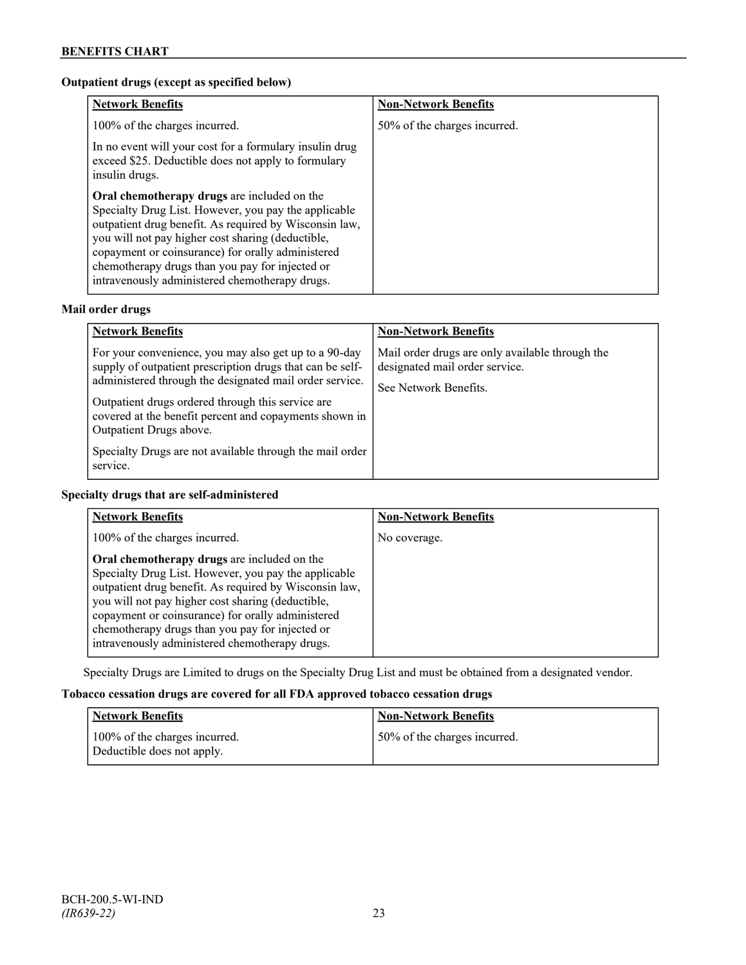# **Outpatient drugs (except as specified below)**

| <b>Network Benefits</b>                                                                                                                                                                                                                                                                                                                                                      | <b>Non-Network Benefits</b>  |
|------------------------------------------------------------------------------------------------------------------------------------------------------------------------------------------------------------------------------------------------------------------------------------------------------------------------------------------------------------------------------|------------------------------|
| 100% of the charges incurred.                                                                                                                                                                                                                                                                                                                                                | 50% of the charges incurred. |
| In no event will your cost for a formulary insulin drug<br>exceed \$25. Deductible does not apply to formulary<br>insulin drugs.                                                                                                                                                                                                                                             |                              |
| Oral chemotherapy drugs are included on the<br>Specialty Drug List. However, you pay the applicable<br>outpatient drug benefit. As required by Wisconsin law,<br>you will not pay higher cost sharing (deductible,<br>copayment or coinsurance) for orally administered<br>chemotherapy drugs than you pay for injected or<br>intravenously administered chemotherapy drugs. |                              |

# **Mail order drugs**

| <b>Network Benefits</b>                                                                                                                                                                                                                                                                                                                                                                         | <b>Non-Network Benefits</b>                                                                                |
|-------------------------------------------------------------------------------------------------------------------------------------------------------------------------------------------------------------------------------------------------------------------------------------------------------------------------------------------------------------------------------------------------|------------------------------------------------------------------------------------------------------------|
| For your convenience, you may also get up to a 90-day<br>supply of outpatient prescription drugs that can be self-<br>administered through the designated mail order service.<br>Outpatient drugs ordered through this service are<br>covered at the benefit percent and copayments shown in<br>Outpatient Drugs above.<br>Specialty Drugs are not available through the mail order<br>service. | Mail order drugs are only available through the<br>designated mail order service.<br>See Network Benefits. |

# **Specialty drugs that are self-administered**

| <b>Network Benefits</b>                                                                                                                                                                                                                                                                                                                                                      | <b>Non-Network Benefits</b> |
|------------------------------------------------------------------------------------------------------------------------------------------------------------------------------------------------------------------------------------------------------------------------------------------------------------------------------------------------------------------------------|-----------------------------|
| 100% of the charges incurred.                                                                                                                                                                                                                                                                                                                                                | No coverage.                |
| Oral chemotherapy drugs are included on the<br>Specialty Drug List. However, you pay the applicable<br>outpatient drug benefit. As required by Wisconsin law,<br>you will not pay higher cost sharing (deductible,<br>copayment or coinsurance) for orally administered<br>chemotherapy drugs than you pay for injected or<br>intravenously administered chemotherapy drugs. |                             |

Specialty Drugs are Limited to drugs on the Specialty Drug List and must be obtained from a designated vendor.

# **Tobacco cessation drugs are covered for all FDA approved tobacco cessation drugs**

| <b>Network Benefits</b>                                     | <b>Non-Network Benefits</b>  |
|-------------------------------------------------------------|------------------------------|
| 100% of the charges incurred.<br>Deductible does not apply. | 50% of the charges incurred. |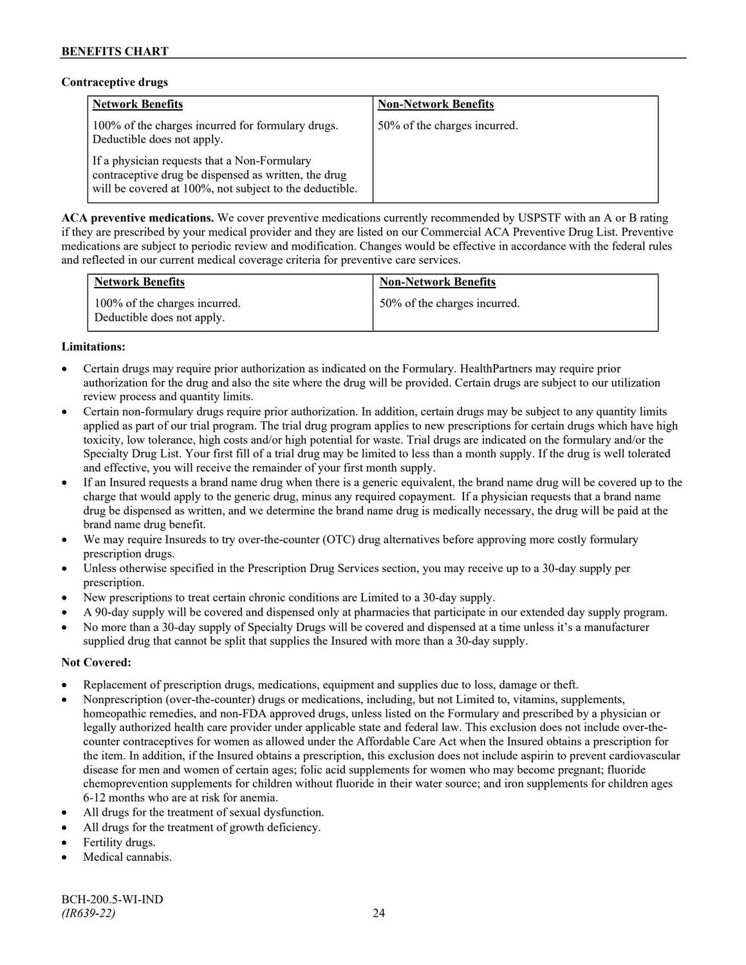## **Contraceptive drugs**

| <b>Network Benefits</b>                                                                                                                                         | <b>Non-Network Benefits</b>  |
|-----------------------------------------------------------------------------------------------------------------------------------------------------------------|------------------------------|
| 100% of the charges incurred for formulary drugs.<br>Deductible does not apply.                                                                                 | 50% of the charges incurred. |
| If a physician requests that a Non-Formulary<br>contraceptive drug be dispensed as written, the drug<br>will be covered at 100%, not subject to the deductible. |                              |

**ACA preventive medications.** We cover preventive medications currently recommended by USPSTF with an A or B rating if they are prescribed by your medical provider and they are listed on our Commercial ACA Preventive Drug List. Preventive medications are subject to periodic review and modification. Changes would be effective in accordance with the federal rules and reflected in our current medical coverage criteria for preventive care services.

| <b>Network Benefits</b>                                     | <b>Non-Network Benefits</b>  |
|-------------------------------------------------------------|------------------------------|
| 100% of the charges incurred.<br>Deductible does not apply. | 50% of the charges incurred. |

### **Limitations:**

- Certain drugs may require prior authorization as indicated on the Formulary. HealthPartners may require prior authorization for the drug and also the site where the drug will be provided. Certain drugs are subject to our utilization review process and quantity limits.
- Certain non-formulary drugs require prior authorization. In addition, certain drugs may be subject to any quantity limits applied as part of our trial program. The trial drug program applies to new prescriptions for certain drugs which have high toxicity, low tolerance, high costs and/or high potential for waste. Trial drugs are indicated on the formulary and/or the Specialty Drug List. Your first fill of a trial drug may be limited to less than a month supply. If the drug is well tolerated and effective, you will receive the remainder of your first month supply.
- If an Insured requests a brand name drug when there is a generic equivalent, the brand name drug will be covered up to the charge that would apply to the generic drug, minus any required copayment. If a physician requests that a brand name drug be dispensed as written, and we determine the brand name drug is medically necessary, the drug will be paid at the brand name drug benefit.
- We may require Insureds to try over-the-counter (OTC) drug alternatives before approving more costly formulary prescription drugs.
- Unless otherwise specified in the Prescription Drug Services section, you may receive up to a 30-day supply per prescription.
- New prescriptions to treat certain chronic conditions are Limited to a 30-day supply.
- A 90-day supply will be covered and dispensed only at pharmacies that participate in our extended day supply program.
- No more than a 30-day supply of Specialty Drugs will be covered and dispensed at a time unless it's a manufacturer supplied drug that cannot be split that supplies the Insured with more than a 30-day supply.

- Replacement of prescription drugs, medications, equipment and supplies due to loss, damage or theft.
- Nonprescription (over-the-counter) drugs or medications, including, but not Limited to, vitamins, supplements, homeopathic remedies, and non-FDA approved drugs, unless listed on the Formulary and prescribed by a physician or legally authorized health care provider under applicable state and federal law. This exclusion does not include over-thecounter contraceptives for women as allowed under the Affordable Care Act when the Insured obtains a prescription for the item. In addition, if the Insured obtains a prescription, this exclusion does not include aspirin to prevent cardiovascular disease for men and women of certain ages; folic acid supplements for women who may become pregnant; fluoride chemoprevention supplements for children without fluoride in their water source; and iron supplements for children ages 6-12 months who are at risk for anemia.
- All drugs for the treatment of sexual dysfunction.
- All drugs for the treatment of growth deficiency.
- Fertility drugs.
- Medical cannabis.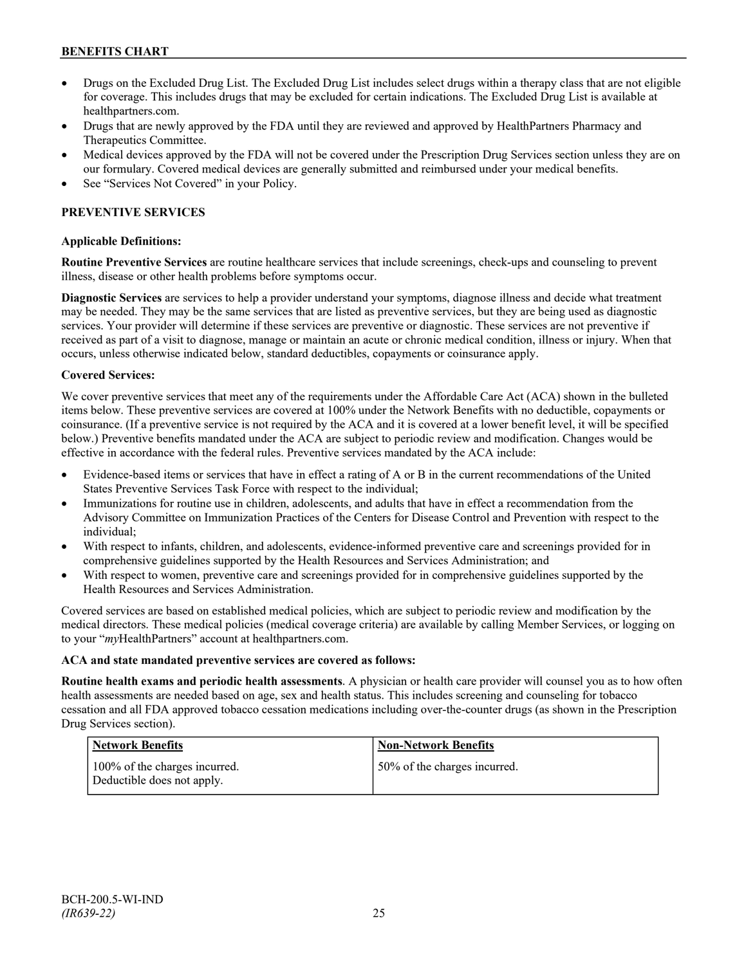- Drugs on the Excluded Drug List. The Excluded Drug List includes select drugs within a therapy class that are not eligible for coverage. This includes drugs that may be excluded for certain indications. The Excluded Drug List is available at [healthpartners.com.](http://www.healthpartners.com/)
- Drugs that are newly approved by the FDA until they are reviewed and approved by HealthPartners Pharmacy and Therapeutics Committee.
- Medical devices approved by the FDA will not be covered under the Prescription Drug Services section unless they are on our formulary. Covered medical devices are generally submitted and reimbursed under your medical benefits.
- See "Services Not Covered" in your Policy.

### **PREVENTIVE SERVICES**

### **Applicable Definitions:**

**Routine Preventive Services** are routine healthcare services that include screenings, check-ups and counseling to prevent illness, disease or other health problems before symptoms occur.

**Diagnostic Services** are services to help a provider understand your symptoms, diagnose illness and decide what treatment may be needed. They may be the same services that are listed as preventive services, but they are being used as diagnostic services. Your provider will determine if these services are preventive or diagnostic. These services are not preventive if received as part of a visit to diagnose, manage or maintain an acute or chronic medical condition, illness or injury. When that occurs, unless otherwise indicated below, standard deductibles, copayments or coinsurance apply.

#### **Covered Services:**

We cover preventive services that meet any of the requirements under the Affordable Care Act (ACA) shown in the bulleted items below. These preventive services are covered at 100% under the Network Benefits with no deductible, copayments or coinsurance. (If a preventive service is not required by the ACA and it is covered at a lower benefit level, it will be specified below.) Preventive benefits mandated under the ACA are subject to periodic review and modification. Changes would be effective in accordance with the federal rules. Preventive services mandated by the ACA include:

- Evidence-based items or services that have in effect a rating of A or B in the current recommendations of the United States Preventive Services Task Force with respect to the individual;
- Immunizations for routine use in children, adolescents, and adults that have in effect a recommendation from the Advisory Committee on Immunization Practices of the Centers for Disease Control and Prevention with respect to the individual;
- With respect to infants, children, and adolescents, evidence-informed preventive care and screenings provided for in comprehensive guidelines supported by the Health Resources and Services Administration; and
- With respect to women, preventive care and screenings provided for in comprehensive guidelines supported by the Health Resources and Services Administration.

Covered services are based on established medical policies, which are subject to periodic review and modification by the medical directors. These medical policies (medical coverage criteria) are available by calling Member Services, or logging on to your "*my*HealthPartners" account at [healthpartners.com.](http://www.healthpartners.com/)

#### **ACA and state mandated preventive services are covered as follows:**

**Routine health exams and periodic health assessments**. A physician or health care provider will counsel you as to how often health assessments are needed based on age, sex and health status. This includes screening and counseling for tobacco cessation and all FDA approved tobacco cessation medications including over-the-counter drugs (as shown in the Prescription Drug Services section).

| Network Benefits                                            | <b>Non-Network Benefits</b>  |
|-------------------------------------------------------------|------------------------------|
| 100% of the charges incurred.<br>Deductible does not apply. | 50% of the charges incurred. |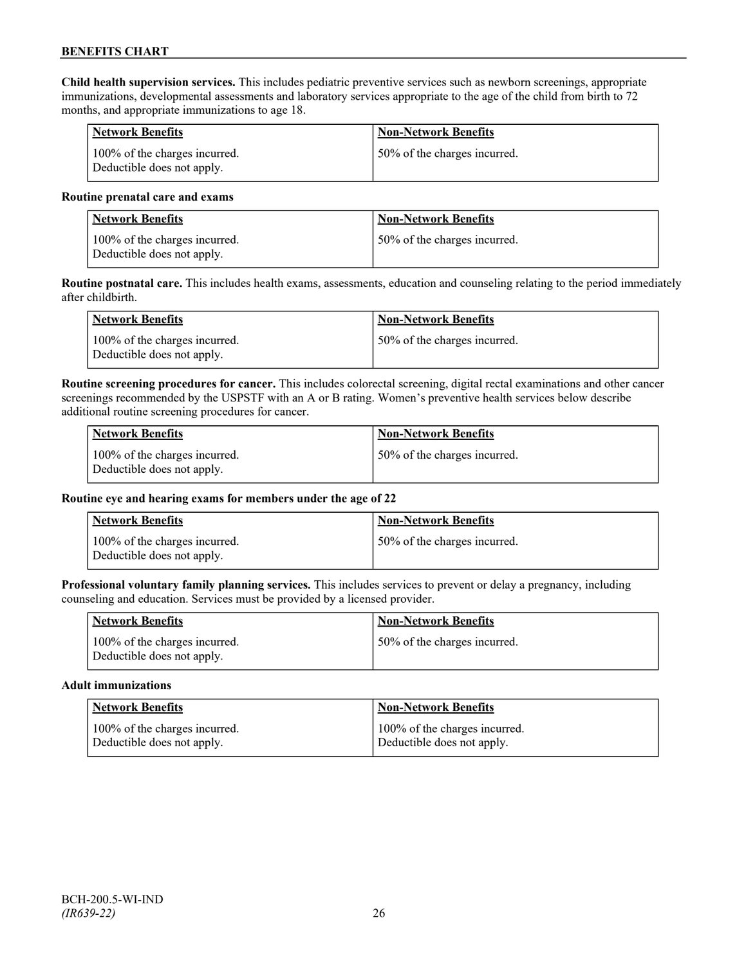**Child health supervision services.** This includes pediatric preventive services such as newborn screenings, appropriate immunizations, developmental assessments and laboratory services appropriate to the age of the child from birth to 72 months, and appropriate immunizations to age 18.

| Network Benefits                                            | <b>Non-Network Benefits</b>  |
|-------------------------------------------------------------|------------------------------|
| 100% of the charges incurred.<br>Deductible does not apply. | 50% of the charges incurred. |

#### **Routine prenatal care and exams**

| <b>Network Benefits</b>                                     | <b>Non-Network Benefits</b>   |
|-------------------------------------------------------------|-------------------------------|
| 100% of the charges incurred.<br>Deductible does not apply. | 150% of the charges incurred. |

**Routine postnatal care.** This includes health exams, assessments, education and counseling relating to the period immediately after childbirth.

| Network Benefits                                            | <b>Non-Network Benefits</b>  |
|-------------------------------------------------------------|------------------------------|
| 100% of the charges incurred.<br>Deductible does not apply. | 50% of the charges incurred. |

**Routine screening procedures for cancer.** This includes colorectal screening, digital rectal examinations and other cancer screenings recommended by the USPSTF with an A or B rating. Women's preventive health services below describe additional routine screening procedures for cancer.

| Network Benefits                                            | <b>Non-Network Benefits</b>  |
|-------------------------------------------------------------|------------------------------|
| 100% of the charges incurred.<br>Deductible does not apply. | 50% of the charges incurred. |

### **Routine eye and hearing exams for members under the age of 22**

| <b>Network Benefits</b>                                     | <b>Non-Network Benefits</b>  |
|-------------------------------------------------------------|------------------------------|
| 100% of the charges incurred.<br>Deductible does not apply. | 50% of the charges incurred. |

**Professional voluntary family planning services.** This includes services to prevent or delay a pregnancy, including counseling and education. Services must be provided by a licensed provider.

| <b>Network Benefits</b>                                     | <b>Non-Network Benefits</b>  |
|-------------------------------------------------------------|------------------------------|
| 100% of the charges incurred.<br>Deductible does not apply. | 50% of the charges incurred. |

#### **Adult immunizations**

| <b>Network Benefits</b>       | <b>Non-Network Benefits</b>   |
|-------------------------------|-------------------------------|
| 100% of the charges incurred. | 100% of the charges incurred. |
| Deductible does not apply.    | Deductible does not apply.    |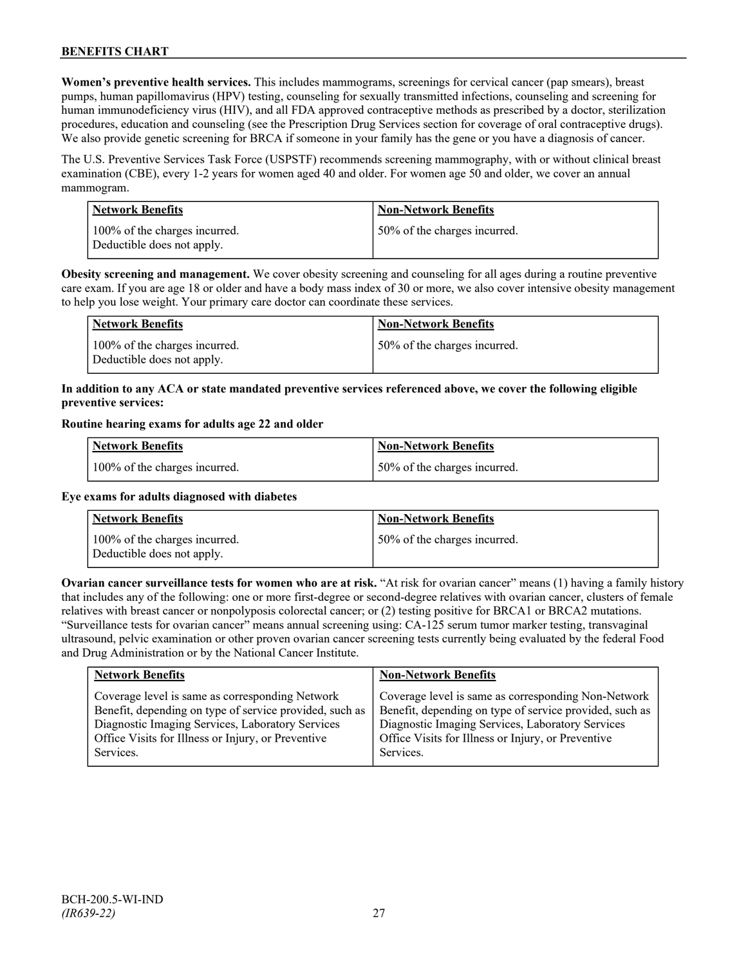**Women's preventive health services.** This includes mammograms, screenings for cervical cancer (pap smears), breast pumps, human papillomavirus (HPV) testing, counseling for sexually transmitted infections, counseling and screening for human immunodeficiency virus (HIV), and all FDA approved contraceptive methods as prescribed by a doctor, sterilization procedures, education and counseling (see the Prescription Drug Services section for coverage of oral contraceptive drugs). We also provide genetic screening for BRCA if someone in your family has the gene or you have a diagnosis of cancer.

The U.S. Preventive Services Task Force (USPSTF) recommends screening mammography, with or without clinical breast examination (CBE), every 1-2 years for women aged 40 and older. For women age 50 and older, we cover an annual mammogram.

| <b>Network Benefits</b>                                     | <b>Non-Network Benefits</b>  |
|-------------------------------------------------------------|------------------------------|
| 100% of the charges incurred.<br>Deductible does not apply. | 50% of the charges incurred. |

**Obesity screening and management.** We cover obesity screening and counseling for all ages during a routine preventive care exam. If you are age 18 or older and have a body mass index of 30 or more, we also cover intensive obesity management to help you lose weight. Your primary care doctor can coordinate these services.

| <b>Network Benefits</b>                                     | <b>Non-Network Benefits</b>  |
|-------------------------------------------------------------|------------------------------|
| 100% of the charges incurred.<br>Deductible does not apply. | 50% of the charges incurred. |

### **In addition to any ACA or state mandated preventive services referenced above, we cover the following eligible preventive services:**

#### **Routine hearing exams for adults age 22 and older**

| Network Benefits              | Non-Network Benefits         |
|-------------------------------|------------------------------|
| 100% of the charges incurred. | 50% of the charges incurred. |

### **Eye exams for adults diagnosed with diabetes**

| Network Benefits                                            | <b>Non-Network Benefits</b>  |
|-------------------------------------------------------------|------------------------------|
| 100% of the charges incurred.<br>Deductible does not apply. | 50% of the charges incurred. |

**Ovarian cancer surveillance tests for women who are at risk.** "At risk for ovarian cancer" means (1) having a family history that includes any of the following: one or more first-degree or second-degree relatives with ovarian cancer, clusters of female relatives with breast cancer or nonpolyposis colorectal cancer; or (2) testing positive for BRCA1 or BRCA2 mutations. "Surveillance tests for ovarian cancer" means annual screening using: CA-125 serum tumor marker testing, transvaginal ultrasound, pelvic examination or other proven ovarian cancer screening tests currently being evaluated by the federal Food and Drug Administration or by the National Cancer Institute.

| <b>Network Benefits</b>                                 | <b>Non-Network Benefits</b>                             |
|---------------------------------------------------------|---------------------------------------------------------|
| Coverage level is same as corresponding Network         | Coverage level is same as corresponding Non-Network     |
| Benefit, depending on type of service provided, such as | Benefit, depending on type of service provided, such as |
| Diagnostic Imaging Services, Laboratory Services        | Diagnostic Imaging Services, Laboratory Services        |
| Office Visits for Illness or Injury, or Preventive      | Office Visits for Illness or Injury, or Preventive      |
| Services.                                               | Services.                                               |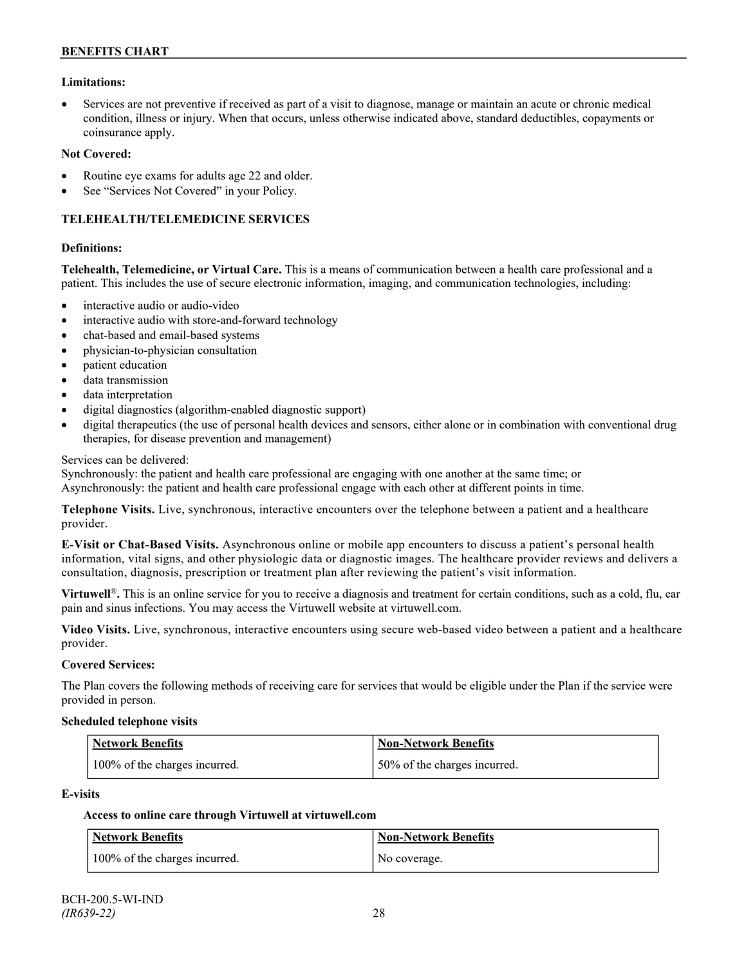#### **Limitations:**

• Services are not preventive if received as part of a visit to diagnose, manage or maintain an acute or chronic medical condition, illness or injury. When that occurs, unless otherwise indicated above, standard deductibles, copayments or coinsurance apply.

#### **Not Covered:**

- Routine eye exams for adults age 22 and older.
- See "Services Not Covered" in your Policy.

#### **TELEHEALTH/TELEMEDICINE SERVICES**

#### **Definitions:**

**Telehealth, Telemedicine, or Virtual Care.** This is a means of communication between a health care professional and a patient. This includes the use of secure electronic information, imaging, and communication technologies, including:

- interactive audio or audio-video
- interactive audio with store-and-forward technology
- chat-based and email-based systems
- physician-to-physician consultation
- patient education
- data transmission
- data interpretation
- digital diagnostics (algorithm-enabled diagnostic support)
- digital therapeutics (the use of personal health devices and sensors, either alone or in combination with conventional drug therapies, for disease prevention and management)

#### Services can be delivered:

Synchronously: the patient and health care professional are engaging with one another at the same time; or Asynchronously: the patient and health care professional engage with each other at different points in time.

**Telephone Visits.** Live, synchronous, interactive encounters over the telephone between a patient and a healthcare provider.

**E-Visit or Chat-Based Visits.** Asynchronous online or mobile app encounters to discuss a patient's personal health information, vital signs, and other physiologic data or diagnostic images. The healthcare provider reviews and delivers a consultation, diagnosis, prescription or treatment plan after reviewing the patient's visit information.

**Virtuwell<sup>®</sup>**. This is an online service for you to receive a diagnosis and treatment for certain conditions, such as a cold, flu, ear pain and sinus infections. You may access the Virtuwell website at [virtuwell.com.](https://www.virtuwell.com/)

**Video Visits.** Live, synchronous, interactive encounters using secure web-based video between a patient and a healthcare provider.

#### **Covered Services:**

The Plan covers the following methods of receiving care for services that would be eligible under the Plan if the service were provided in person.

#### **Scheduled telephone visits**

| <b>Network Benefits</b>       | Non-Network Benefits         |
|-------------------------------|------------------------------|
| 100% of the charges incurred. | 50% of the charges incurred. |

#### **E-visits**

### **Access to online care through Virtuwell at [virtuwell.com](http://www.virtuwell.com/)**

| Network Benefits              | Non-Network Benefits |
|-------------------------------|----------------------|
| 100% of the charges incurred. | No coverage.         |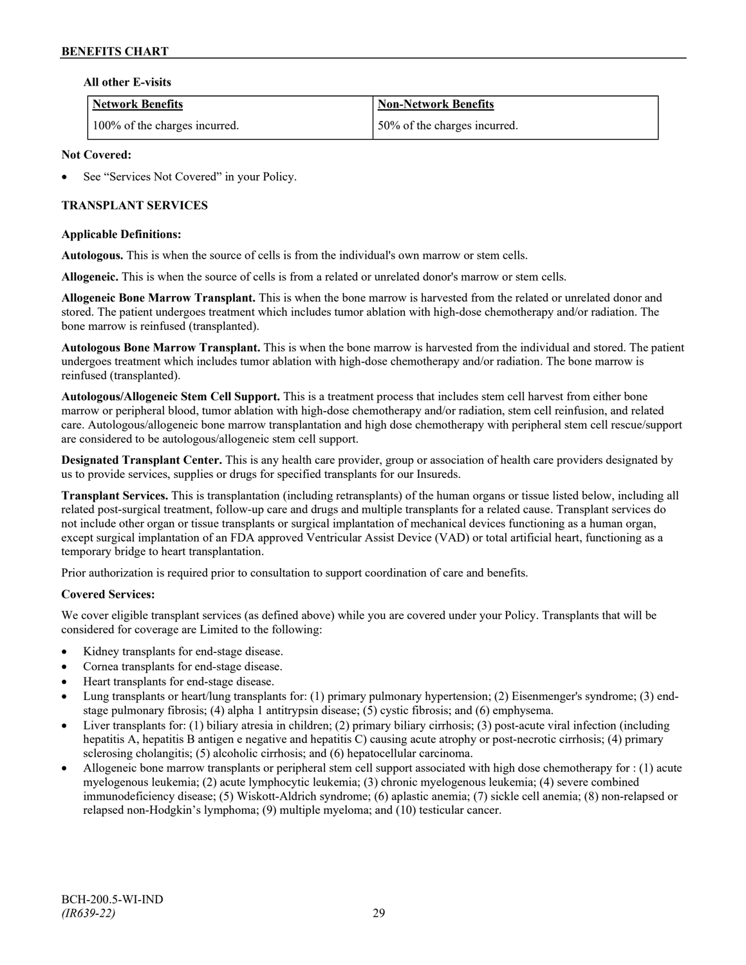#### **All other E-visits**

| <b>Network Benefits</b>       | <b>Non-Network Benefits</b>  |
|-------------------------------|------------------------------|
| 100% of the charges incurred. | 50% of the charges incurred. |

### **Not Covered:**

See "Services Not Covered" in your Policy.

### **TRANSPLANT SERVICES**

#### **Applicable Definitions:**

**Autologous.** This is when the source of cells is from the individual's own marrow or stem cells.

**Allogeneic.** This is when the source of cells is from a related or unrelated donor's marrow or stem cells.

**Allogeneic Bone Marrow Transplant.** This is when the bone marrow is harvested from the related or unrelated donor and stored. The patient undergoes treatment which includes tumor ablation with high-dose chemotherapy and/or radiation. The bone marrow is reinfused (transplanted).

**Autologous Bone Marrow Transplant.** This is when the bone marrow is harvested from the individual and stored. The patient undergoes treatment which includes tumor ablation with high-dose chemotherapy and/or radiation. The bone marrow is reinfused (transplanted).

**Autologous/Allogeneic Stem Cell Support.** This is a treatment process that includes stem cell harvest from either bone marrow or peripheral blood, tumor ablation with high-dose chemotherapy and/or radiation, stem cell reinfusion, and related care. Autologous/allogeneic bone marrow transplantation and high dose chemotherapy with peripheral stem cell rescue/support are considered to be autologous/allogeneic stem cell support.

**Designated Transplant Center.** This is any health care provider, group or association of health care providers designated by us to provide services, supplies or drugs for specified transplants for our Insureds.

**Transplant Services.** This is transplantation (including retransplants) of the human organs or tissue listed below, including all related post-surgical treatment, follow-up care and drugs and multiple transplants for a related cause. Transplant services do not include other organ or tissue transplants or surgical implantation of mechanical devices functioning as a human organ, except surgical implantation of an FDA approved Ventricular Assist Device (VAD) or total artificial heart, functioning as a temporary bridge to heart transplantation.

Prior authorization is required prior to consultation to support coordination of care and benefits.

### **Covered Services:**

We cover eligible transplant services (as defined above) while you are covered under your Policy. Transplants that will be considered for coverage are Limited to the following:

- Kidney transplants for end-stage disease.
- Cornea transplants for end-stage disease.
- Heart transplants for end-stage disease.
- Lung transplants or heart/lung transplants for: (1) primary pulmonary hypertension; (2) Eisenmenger's syndrome; (3) endstage pulmonary fibrosis; (4) alpha 1 antitrypsin disease; (5) cystic fibrosis; and (6) emphysema.
- Liver transplants for: (1) biliary atresia in children; (2) primary biliary cirrhosis; (3) post-acute viral infection (including hepatitis A, hepatitis B antigen e negative and hepatitis C) causing acute atrophy or post-necrotic cirrhosis; (4) primary sclerosing cholangitis; (5) alcoholic cirrhosis; and (6) hepatocellular carcinoma.
- Allogeneic bone marrow transplants or peripheral stem cell support associated with high dose chemotherapy for : (1) acute myelogenous leukemia; (2) acute lymphocytic leukemia; (3) chronic myelogenous leukemia; (4) severe combined immunodeficiency disease; (5) Wiskott-Aldrich syndrome; (6) aplastic anemia; (7) sickle cell anemia; (8) non-relapsed or relapsed non-Hodgkin's lymphoma; (9) multiple myeloma; and (10) testicular cancer.